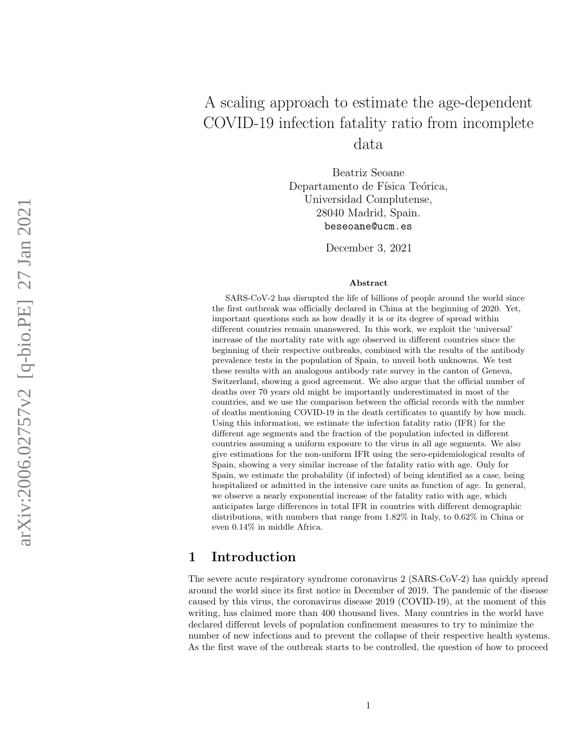# A scaling approach to estimate the age-dependent COVID-19 infection fatality ratio from incomplete data

Beatriz Seoane Departamento de Física Teórica, Universidad Complutense, 28040 Madrid, Spain. beseoane@ucm.es

December 3, 2021

#### Abstract

SARS-CoV-2 has disrupted the life of billions of people around the world since the first outbreak was officially declared in China at the beginning of 2020. Yet, important questions such as how deadly it is or its degree of spread within different countries remain unanswered. In this work, we exploit the 'universal' increase of the mortality rate with age observed in different countries since the beginning of their respective outbreaks, combined with the results of the antibody prevalence tests in the population of Spain, to unveil both unknowns. We test these results with an analogous antibody rate survey in the canton of Geneva, Switzerland, showing a good agreement. We also argue that the official number of deaths over 70 years old might be importantly underestimated in most of the countries, and we use the comparison between the official records with the number of deaths mentioning COVID-19 in the death certificates to quantify by how much. Using this information, we estimate the infection fatality ratio (IFR) for the different age segments and the fraction of the population infected in different countries assuming a uniform exposure to the virus in all age segments. We also give estimations for the non-uniform IFR using the sero-epidemiological results of Spain, showing a very similar increase of the fatality ratio with age. Only for Spain, we estimate the probability (if infected) of being identified as a case, being hospitalized or admitted in the intensive care units as function of age. In general, we observe a nearly exponential increase of the fatality ratio with age, which anticipates large differences in total IFR in countries with different demographic distributions, with numbers that range from 1.82% in Italy, to 0.62% in China or even 0.14% in middle Africa.

## 1 Introduction

The severe acute respiratory syndrome coronavirus 2 (SARS-CoV-2) has quickly spread around the world since its first notice in December of 2019. The pandemic of the disease caused by this virus, the coronavirus disease 2019 (COVID-19), at the moment of this writing, has claimed more than 400 thousand lives. Many countries in the world have declared different levels of population confinement measures to try to minimize the number of new infections and to prevent the collapse of their respective health systems. As the first wave of the outbreak starts to be controlled, the question of how to proceed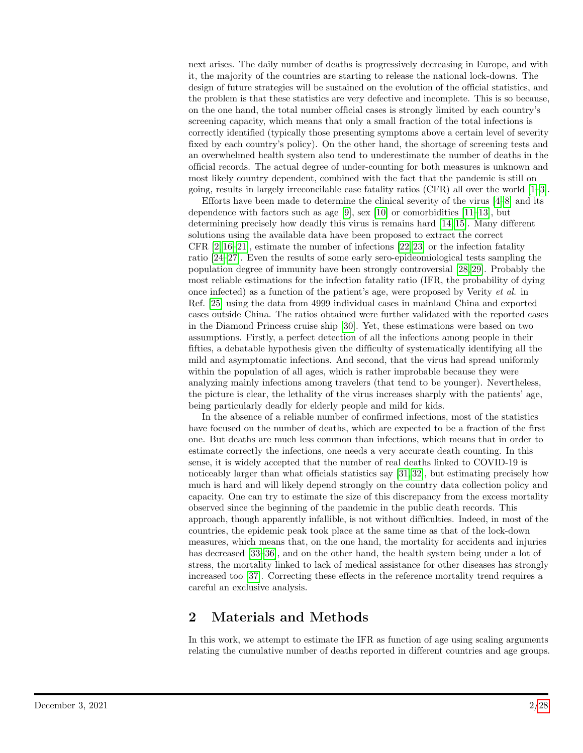next arises. The daily number of deaths is progressively decreasing in Europe, and with it, the majority of the countries are starting to release the national lock-downs. The design of future strategies will be sustained on the evolution of the official statistics, and the problem is that these statistics are very defective and incomplete. This is so because, on the one hand, the total number official cases is strongly limited by each country's screening capacity, which means that only a small fraction of the total infections is correctly identified (typically those presenting symptoms above a certain level of severity fixed by each country's policy). On the other hand, the shortage of screening tests and an overwhelmed health system also tend to underestimate the number of deaths in the official records. The actual degree of under-counting for both measures is unknown and most likely country dependent, combined with the fact that the pandemic is still on going, results in largely irreconcilable case fatality ratios (CFR) all over the world [\[1](#page-16-0)[–3\]](#page-17-0).

Efforts have been made to determine the clinical severity of the virus  $[4-8]$  $[4-8]$  and its dependence with factors such as age [\[9\]](#page-17-3), sex [\[10\]](#page-17-4) or comorbidities  $[11-13]$  $[11-13]$ , but determining precisely how deadly this virus is remains hard [\[14,](#page-17-7) [15\]](#page-17-8). Many different solutions using the available data have been proposed to extract the correct CFR  $[2, 16-21]$  $[2, 16-21]$  $[2, 16-21]$ , estimate the number of infections  $[22, 23]$  $[22, 23]$  or the infection fatality ratio [\[24–](#page-18-3)[27\]](#page-18-4). Even the results of some early sero-epideomiological tests sampling the population degree of immunity have been strongly controversial [\[28,](#page-18-5) [29\]](#page-18-6). Probably the most reliable estimations for the infection fatality ratio (IFR, the probability of dying once infected) as a function of the patient's age, were proposed by Verity et al. in Ref. [\[25\]](#page-18-7) using the data from 4999 individual cases in mainland China and exported cases outside China. The ratios obtained were further validated with the reported cases in the Diamond Princess cruise ship [\[30\]](#page-18-8). Yet, these estimations were based on two assumptions. Firstly, a perfect detection of all the infections among people in their fifties, a debatable hypothesis given the difficulty of systematically identifying all the mild and asymptomatic infections. And second, that the virus had spread uniformly within the population of all ages, which is rather improbable because they were analyzing mainly infections among travelers (that tend to be younger). Nevertheless, the picture is clear, the lethality of the virus increases sharply with the patients' age, being particularly deadly for elderly people and mild for kids.

In the absence of a reliable number of confirmed infections, most of the statistics have focused on the number of deaths, which are expected to be a fraction of the first one. But deaths are much less common than infections, which means that in order to estimate correctly the infections, one needs a very accurate death counting. In this sense, it is widely accepted that the number of real deaths linked to COVID-19 is noticeably larger than what officials statistics say [\[31,](#page-19-0) [32\]](#page-19-1), but estimating precisely how much is hard and will likely depend strongly on the country data collection policy and capacity. One can try to estimate the size of this discrepancy from the excess mortality observed since the beginning of the pandemic in the public death records. This approach, though apparently infallible, is not without difficulties. Indeed, in most of the countries, the epidemic peak took place at the same time as that of the lock-down measures, which means that, on the one hand, the mortality for accidents and injuries has decreased [\[33](#page-19-2)[–36\]](#page-19-3), and on the other hand, the health system being under a lot of stress, the mortality linked to lack of medical assistance for other diseases has strongly increased too [\[37\]](#page-19-4). Correcting these effects in the reference mortality trend requires a careful an exclusive analysis.

# 2 Materials and Methods

In this work, we attempt to estimate the IFR as function of age using scaling arguments relating the cumulative number of deaths reported in different countries and age groups.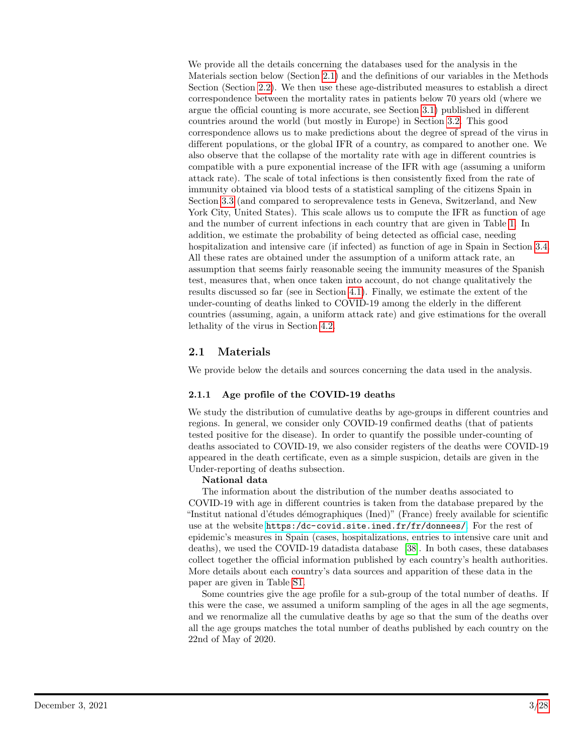We provide all the details concerning the databases used for the analysis in the Materials section below (Section [2.1\)](#page-2-0) and the definitions of our variables in the Methods Section (Section [2.2\)](#page-3-0). We then use these age-distributed measures to establish a direct correspondence between the mortality rates in patients below 70 years old (where we argue the official counting is more accurate, see Section [3.1\)](#page-6-0) published in different countries around the world (but mostly in Europe) in Section [3.2.](#page-6-1) This good correspondence allows us to make predictions about the degree of spread of the virus in different populations, or the global IFR of a country, as compared to another one. We also observe that the collapse of the mortality rate with age in different countries is compatible with a pure exponential increase of the IFR with age (assuming a uniform attack rate). The scale of total infections is then consistently fixed from the rate of immunity obtained via blood tests of a statistical sampling of the citizens Spain in Section [3.3](#page-9-0) (and compared to seroprevalence tests in Geneva, Switzerland, and New York City, United States). This scale allows us to compute the IFR as function of age and the number of current infections in each country that are given in Table [1.](#page-10-0) In addition, we estimate the probability of being detected as official case, needing hospitalization and intensive care (if infected) as function of age in Spain in Section [3.4.](#page-12-0) All these rates are obtained under the assumption of a uniform attack rate, an assumption that seems fairly reasonable seeing the immunity measures of the Spanish test, measures that, when once taken into account, do not change qualitatively the results discussed so far (see in Section [4.1\)](#page-13-0). Finally, we estimate the extent of the under-counting of deaths linked to COVID-19 among the elderly in the different countries (assuming, again, a uniform attack rate) and give estimations for the overall lethality of the virus in Section [4.2.](#page-14-0)

# <span id="page-2-0"></span>2.1 Materials

We provide below the details and sources concerning the data used in the analysis.

### 2.1.1 Age profile of the COVID-19 deaths

We study the distribution of cumulative deaths by age-groups in different countries and regions. In general, we consider only COVID-19 confirmed deaths (that of patients tested positive for the disease). In order to quantify the possible under-counting of deaths associated to COVID-19, we also consider registers of the deaths were COVID-19 appeared in the death certificate, even as a simple suspicion, details are given in the Under-reporting of deaths subsection.

#### National data

The information about the distribution of the number deaths associated to COVID-19 with age in different countries is taken from the database prepared by the "Institut national d'études démographiques (Ined)" (France) freely available for scientific use at the website <https:/dc-covid.site.ined.fr/fr/donnees/>. For the rest of epidemic's measures in Spain (cases, hospitalizations, entries to intensive care unit and deaths), we used the COVID-19 datadista database [\[38\]](#page-19-5). In both cases, these databases collect together the official information published by each country's health authorities. More details about each country's data sources and apparition of these data in the paper are given in Table [S1.](#page-24-0)

Some countries give the age profile for a sub-group of the total number of deaths. If this were the case, we assumed a uniform sampling of the ages in all the age segments, and we renormalize all the cumulative deaths by age so that the sum of the deaths over all the age groups matches the total number of deaths published by each country on the 22nd of May of 2020.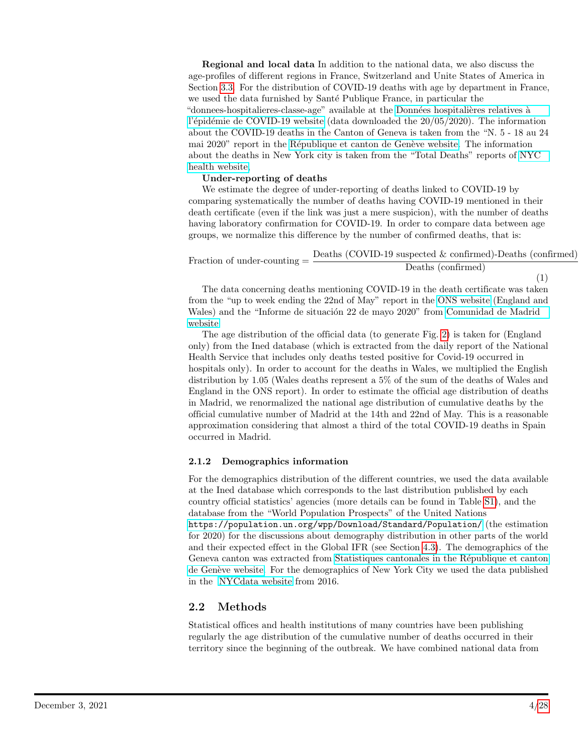Regional and local data In addition to the national data, we also discuss the age-profiles of different regions in France, Switzerland and Unite States of America in Section [3.3.](#page-9-0) For the distribution of COVID-19 deaths with age by department in France, we used the data furnished by Santé Publique France, in particular the "donnees-hospitalieres-classe-age" available at the Données hospitalières relatives à l'épidémie de COVID-19 website (data downloaded the  $20/05/2020$ ). The information about the COVID-19 deaths in the Canton of Geneva is taken from the "N. 5 - 18 au 24 mai 2020" report in the République et canton de Genève website. The information about the deaths in New York city is taken from the "Total Deaths" reports of [NYC](https://www1.nyc.gov/site/doh/covid/covid-19-data-archive.page) [health website,](https://www1.nyc.gov/site/doh/covid/covid-19-data-archive.page)

#### Under-reporting of deaths

We estimate the degree of under-reporting of deaths linked to COVID-19 by comparing systematically the number of deaths having COVID-19 mentioned in their death certificate (even if the link was just a mere suspicion), with the number of deaths having laboratory confirmation for COVID-19. In order to compare data between age groups, we normalize this difference by the number of confirmed deaths, that is:

<span id="page-3-1"></span>
$$
Fraction of under-counting = \frac{Deaths (COVID-19 suspected & confirmed)-Deaths (confirmed)}{Deaths (confirmed)}\tag{1}
$$

The data concerning deaths mentioning COVID-19 in the death certificate was taken from the "up to week ending the 22nd of May" report in the [ONS website](https://www.ons.gov.uk/peoplepopulationandcommunity/birthsdeathsandmarriages/deaths/datasets/weeklyprovisionalfiguresondeathsregisteredinenglandandwales) (England and Wales) and the "Informe de situación 22 de mayo 2020" from [Comunidad de Madrid](https://www.comunidad.madrid/servicios/salud/2019-nuevo-coronavirus#situacion-epidemiologica-actual) [website.](https://www.comunidad.madrid/servicios/salud/2019-nuevo-coronavirus#situacion-epidemiologica-actual)

The age distribution of the official data (to generate Fig. [2\)](#page-7-0) is taken for (England only) from the Ined database (which is extracted from the daily report of the National Health Service that includes only deaths tested positive for Covid-19 occurred in hospitals only). In order to account for the deaths in Wales, we multiplied the English distribution by 1.05 (Wales deaths represent a 5% of the sum of the deaths of Wales and England in the ONS report). In order to estimate the official age distribution of deaths in Madrid, we renormalized the national age distribution of cumulative deaths by the official cumulative number of Madrid at the 14th and 22nd of May. This is a reasonable approximation considering that almost a third of the total COVID-19 deaths in Spain occurred in Madrid.

#### 2.1.2 Demographics information

For the demographics distribution of the different countries, we used the data available at the Ined database which corresponds to the last distribution published by each country official statistics' agencies (more details can be found in Table [S1\)](#page-24-0), and the database from the "World Population Prospects" of the United Nations

<https://population.un.org/wpp/Download/Standard/Population/> (the estimation for 2020) for the discussions about demography distribution in other parts of the world and their expected effect in the Global IFR (see Section [4.3\)](#page-14-1). The demographics of the Geneva canton was extracted from Statistiques cantonales in the République et canton de Genève website. For the demographics of New York City we used the data published in the [NYCdata website](https://www.baruch.cuny.edu/nycdata/population-geography/pop-demography.htm) from 2016.

### <span id="page-3-0"></span>2.2 Methods

Statistical offices and health institutions of many countries have been publishing regularly the age distribution of the cumulative number of deaths occurred in their territory since the beginning of the outbreak. We have combined national data from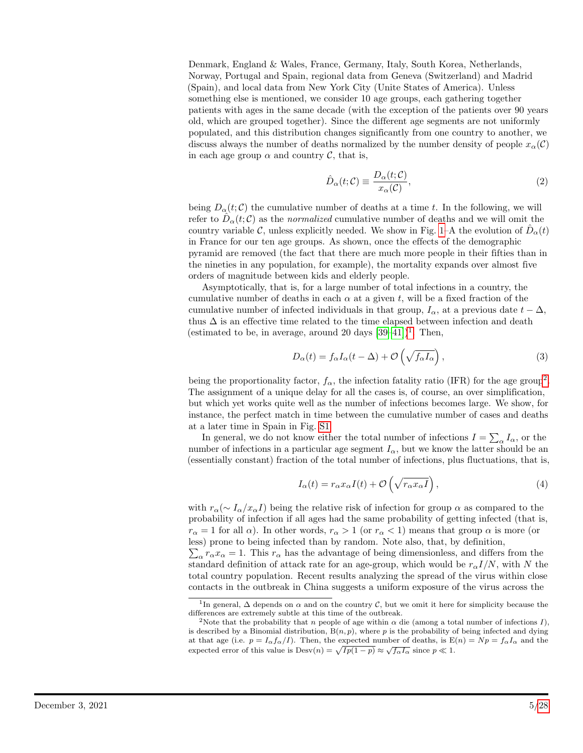Denmark, England & Wales, France, Germany, Italy, South Korea, Netherlands, Norway, Portugal and Spain, regional data from Geneva (Switzerland) and Madrid (Spain), and local data from New York City (Unite States of America). Unless something else is mentioned, we consider 10 age groups, each gathering together patients with ages in the same decade (with the exception of the patients over 90 years old, which are grouped together). Since the different age segments are not uniformly populated, and this distribution changes significantly from one country to another, we discuss always the number of deaths normalized by the number density of people  $x_{\alpha}(\mathcal{C})$ in each age group  $\alpha$  and country  $\mathcal{C}$ , that is,

<span id="page-4-2"></span>
$$
\hat{D}_{\alpha}(t;\mathcal{C}) \equiv \frac{D_{\alpha}(t;\mathcal{C})}{x_{\alpha}(\mathcal{C})},\tag{2}
$$

being  $D_{\alpha}(t;\mathcal{C})$  the cumulative number of deaths at a time t. In the following, we will refer to  $\hat{D}_{\alpha}(t; \mathcal{C})$  as the *normalized* cumulative number of deaths and we will omit the country variable C, unless explicitly needed. We show in Fig. [1–](#page-5-0)A the evolution of  $\hat{D}_{\alpha}(t)$ in France for our ten age groups. As shown, once the effects of the demographic pyramid are removed (the fact that there are much more people in their fifties than in the nineties in any population, for example), the mortality expands over almost five orders of magnitude between kids and elderly people.

Asymptotically, that is, for a large number of total infections in a country, the cumulative number of deaths in each  $\alpha$  at a given t, will be a fixed fraction of the cumulative number of infected individuals in that group,  $I_{\alpha}$ , at a previous date  $t - \Delta$ , thus  $\Delta$  is an effective time related to the time elapsed between infection and death (estimated to be, in average, around 20 days  $[39-41]$  $[39-41]$  $[39-41]$  $[39-41]$ <sup>1</sup>. Then,

<span id="page-4-3"></span>
$$
D_{\alpha}(t) = f_{\alpha}I_{\alpha}(t - \Delta) + \mathcal{O}\left(\sqrt{f_{\alpha}I_{\alpha}}\right),\tag{3}
$$

being the proportionality factor,  $f_{\alpha}$ , the infection fatality ratio (IFR) for the age group<sup>[2](#page-4-1)</sup>. The assignment of a unique delay for all the cases is, of course, an over simplification, but which yet works quite well as the number of infections becomes large. We show, for instance, the perfect match in time between the cumulative number of cases and deaths at a later time in Spain in Fig. [S1.](#page-25-0)

In general, we do not know either the total number of infections  $I = \sum_{\alpha} I_{\alpha}$ , or the number of infections in a particular age segment  $I_{\alpha}$ , but we know the latter should be an (essentially constant) fraction of the total number of infections, plus fluctuations, that is,

<span id="page-4-4"></span>
$$
I_{\alpha}(t) = r_{\alpha} x_{\alpha} I(t) + \mathcal{O}\left(\sqrt{r_{\alpha} x_{\alpha} I}\right),\tag{4}
$$

with  $r_{\alpha}(\sim I_{\alpha}/x_{\alpha}I)$  being the relative risk of infection for group  $\alpha$  as compared to the probability of infection if all ages had the same probability of getting infected (that is,  $r_{\alpha} = 1$  for all  $\alpha$ ). In other words,  $r_{\alpha} > 1$  (or  $r_{\alpha} < 1$ ) means that group  $\alpha$  is more (or less) prone to being infected than by random. Note also, that, by definition,

 $\sum_{\alpha} r_{\alpha} x_{\alpha} = 1$ . This  $r_{\alpha}$  has the advantage of being dimensionless, and differs from the standard definition of attack rate for an age-group, which would be  $r_{\alpha}I/N$ , with N the total country population. Recent results analyzing the spread of the virus within close contacts in the outbreak in China suggests a uniform exposure of the virus across the

<span id="page-4-0"></span><sup>&</sup>lt;sup>1</sup>In general,  $\Delta$  depends on  $\alpha$  and on the country C, but we omit it here for simplicity because the differences are extremely subtle at this time of the outbreak.

<span id="page-4-1"></span><sup>&</sup>lt;sup>2</sup>Note that the probability that n people of age within  $\alpha$  die (among a total number of infections I), is described by a Binomial distribution,  $B(n, p)$ , where p is the probability of being infected and dying at that age (i.e.  $p = I_{\alpha} f_{\alpha}/I$ ). Then, the expected number of deaths, is  $E(n) = Np = f_{\alpha} I_{\alpha}$  and the expected error of this value is  $Desv(n) = \sqrt{Ip(1-p)} \approx \sqrt{f_{\alpha}I_{\alpha}}$  since  $p \ll 1$ .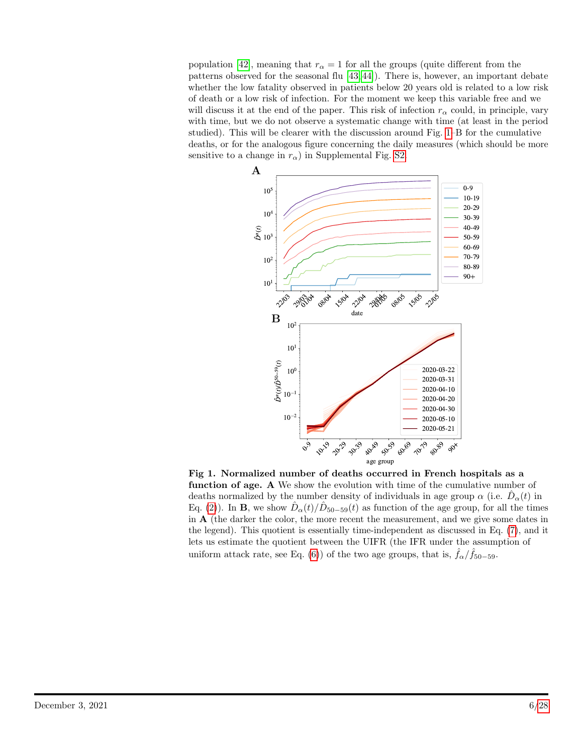population [\[42\]](#page-19-8), meaning that  $r_{\alpha} = 1$  for all the groups (quite different from the patterns observed for the seasonal flu [\[43,](#page-19-9) [44\]](#page-19-10)). There is, however, an important debate whether the low fatality observed in patients below 20 years old is related to a low risk of death or a low risk of infection. For the moment we keep this variable free and we will discuss it at the end of the paper. This risk of infection  $r_{\alpha}$  could, in principle, vary with time, but we do not observe a systematic change with time (at least in the period studied). This will be clearer with the discussion around Fig. [1–](#page-5-0)B for the cumulative deaths, or for the analogous figure concerning the daily measures (which should be more sensitive to a change in  $r_{\alpha}$ ) in Supplemental Fig. [S2.](#page-26-0)

<span id="page-5-0"></span>

Fig 1. Normalized number of deaths occurred in French hospitals as a function of age. A We show the evolution with time of the cumulative number of deaths normalized by the number density of individuals in age group  $\alpha$  (i.e.  $\hat{D}_{\alpha}(t)$  in Eq. [\(2\)](#page-4-2)). In **B**, we show  $\hat{D}_{\alpha}(t)/\hat{D}_{50-59}(t)$  as function of the age group, for all the times in  $A$  (the darker the color, the more recent the measurement, and we give some dates in the legend). This quotient is essentially time-independent as discussed in Eq. [\(7\)](#page-7-1), and it lets us estimate the quotient between the UIFR (the IFR under the assumption of uniform attack rate, see Eq. [\(6\)](#page-6-2)) of the two age groups, that is,  $\hat{f}_{\alpha}/\hat{f}_{50-59}$ .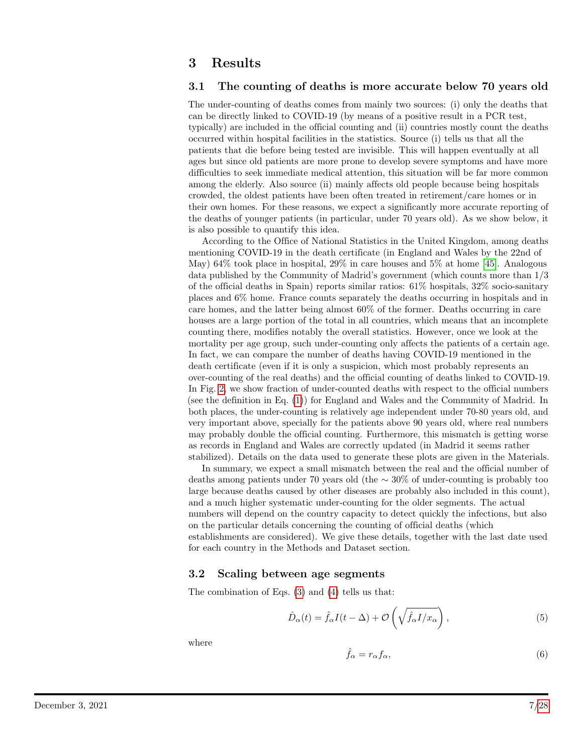# 3 Results

#### <span id="page-6-0"></span>3.1 The counting of deaths is more accurate below 70 years old

The under-counting of deaths comes from mainly two sources: (i) only the deaths that can be directly linked to COVID-19 (by means of a positive result in a PCR test, typically) are included in the official counting and (ii) countries mostly count the deaths occurred within hospital facilities in the statistics. Source (i) tells us that all the patients that die before being tested are invisible. This will happen eventually at all ages but since old patients are more prone to develop severe symptoms and have more difficulties to seek immediate medical attention, this situation will be far more common among the elderly. Also source (ii) mainly affects old people because being hospitals crowded, the oldest patients have been often treated in retirement/care homes or in their own homes. For these reasons, we expect a significantly more accurate reporting of the deaths of younger patients (in particular, under 70 years old). As we show below, it is also possible to quantify this idea.

According to the Office of National Statistics in the United Kingdom, among deaths mentioning COVID-19 in the death certificate (in England and Wales by the 22nd of May)  $64\%$  took place in hospital,  $29\%$  in care houses and  $5\%$  at home [\[45\]](#page-19-11). Analogous data published by the Community of Madrid's government (which counts more than 1/3 of the official deaths in Spain) reports similar ratios: 61% hospitals, 32% socio-sanitary places and 6% home. France counts separately the deaths occurring in hospitals and in care homes, and the latter being almost 60% of the former. Deaths occurring in care houses are a large portion of the total in all countries, which means that an incomplete counting there, modifies notably the overall statistics. However, once we look at the mortality per age group, such under-counting only affects the patients of a certain age. In fact, we can compare the number of deaths having COVID-19 mentioned in the death certificate (even if it is only a suspicion, which most probably represents an over-counting of the real deaths) and the official counting of deaths linked to COVID-19. In Fig. [2,](#page-7-0) we show fraction of under-counted deaths with respect to the official numbers (see the definition in Eq. [\(1\)](#page-3-1)) for England and Wales and the Community of Madrid. In both places, the under-counting is relatively age independent under 70-80 years old, and very important above, specially for the patients above 90 years old, where real numbers may probably double the official counting. Furthermore, this mismatch is getting worse as records in England and Wales are correctly updated (in Madrid it seems rather stabilized). Details on the data used to generate these plots are given in the Materials.

In summary, we expect a small mismatch between the real and the official number of deaths among patients under 70 years old (the ∼ 30% of under-counting is probably too large because deaths caused by other diseases are probably also included in this count), and a much higher systematic under-counting for the older segments. The actual numbers will depend on the country capacity to detect quickly the infections, but also on the particular details concerning the counting of official deaths (which establishments are considered). We give these details, together with the last date used for each country in the Methods and Dataset section.

#### <span id="page-6-1"></span>3.2 Scaling between age segments

The combination of Eqs. [\(3\)](#page-4-3) and [\(4\)](#page-4-4) tells us that:

<span id="page-6-3"></span>
$$
\hat{D}_{\alpha}(t) = \hat{f}_{\alpha}I(t-\Delta) + \mathcal{O}\left(\sqrt{\hat{f}_{\alpha}I/x_{\alpha}}\right),\tag{5}
$$

where

<span id="page-6-2"></span>
$$
\hat{f}_{\alpha} = r_{\alpha} f_{\alpha},\tag{6}
$$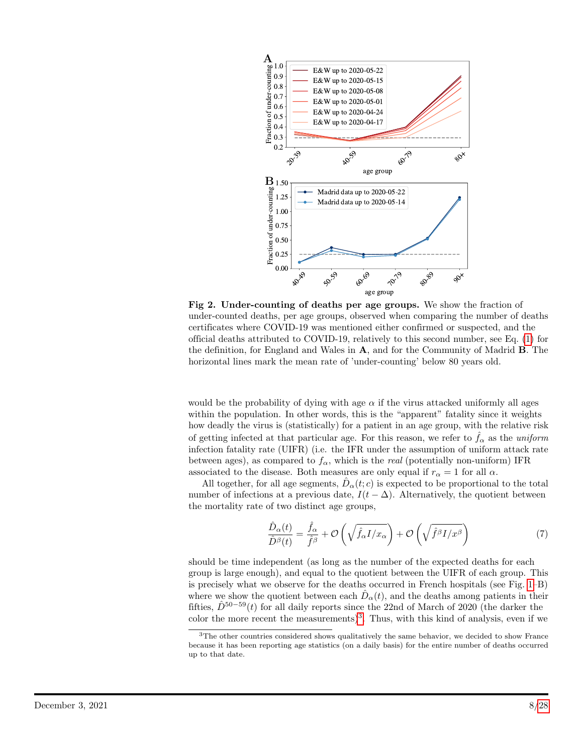<span id="page-7-0"></span>

Fig 2. Under-counting of deaths per age groups. We show the fraction of under-counted deaths, per age groups, observed when comparing the number of deaths certificates where COVID-19 was mentioned either confirmed or suspected, and the official deaths attributed to COVID-19, relatively to this second number, see Eq. [\(1\)](#page-3-1) for the definition, for England and Wales in  $A$ , and for the Community of Madrid  $B$ . The horizontal lines mark the mean rate of 'under-counting' below 80 years old.

would be the probability of dying with age  $\alpha$  if the virus attacked uniformly all ages within the population. In other words, this is the "apparent" fatality since it weights how deadly the virus is (statistically) for a patient in an age group, with the relative risk of getting infected at that particular age. For this reason, we refer to  $f_{\alpha}$  as the uniform infection fatality rate (UIFR) (i.e. the IFR under the assumption of uniform attack rate between ages), as compared to  $f_{\alpha}$ , which is the *real* (potentially non-uniform) IFR associated to the disease. Both measures are only equal if  $r_{\alpha} = 1$  for all  $\alpha$ .

All together, for all age segments,  $\hat{D}_{\alpha}(t; c)$  is expected to be proportional to the total number of infections at a previous date,  $I(t - \Delta)$ . Alternatively, the quotient between the mortality rate of two distinct age groups,

<span id="page-7-1"></span>
$$
\frac{\hat{D}_{\alpha}(t)}{\hat{D}^{\beta}(t)} = \frac{\hat{f}_{\alpha}}{\hat{f}^{\beta}} + \mathcal{O}\left(\sqrt{\hat{f}_{\alpha}I/x_{\alpha}}\right) + \mathcal{O}\left(\sqrt{\hat{f}^{\beta}I/x^{\beta}}\right)
$$
\n(7)

should be time independent (as long as the number of the expected deaths for each group is large enough), and equal to the quotient between the UIFR of each group. This is precisely what we observe for the deaths occurred in French hospitals (see Fig. [1–](#page-5-0)B) where we show the quotient between each  $\hat{D}_{\alpha}(t)$ , and the deaths among patients in their fifties,  $\hat{D}^{50-59}(t)$  for all daily reports since the 22nd of March of 2020 (the darker the color the more recent the measurements)<sup>[3](#page-7-2)</sup>. Thus, with this kind of analysis, even if we

<span id="page-7-2"></span><sup>&</sup>lt;sup>3</sup>The other countries considered shows qualitatively the same behavior, we decided to show France because it has been reporting age statistics (on a daily basis) for the entire number of deaths occurred up to that date.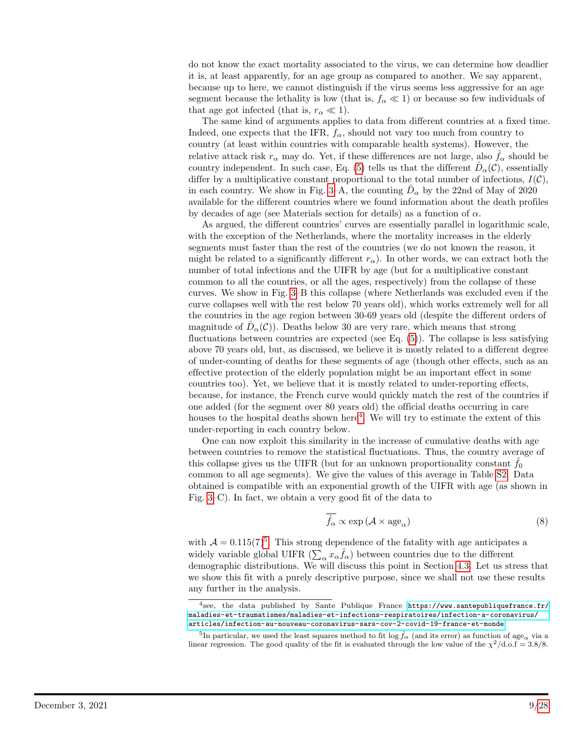do not know the exact mortality associated to the virus, we can determine how deadlier it is, at least apparently, for an age group as compared to another. We say apparent, because up to here, we cannot distinguish if the virus seems less aggressive for an age segment because the lethality is low (that is,  $f_{\alpha} \ll 1$ ) or because so few individuals of that age got infected (that is,  $r_{\alpha} \ll 1$ ).

The same kind of arguments applies to data from different countries at a fixed time. Indeed, one expects that the IFR,  $f_{\alpha}$ , should not vary too much from country to country (at least within countries with comparable health systems). However, the relative attack risk  $r_{\alpha}$  may do. Yet, if these differences are not large, also  $f_{\alpha}$  should be country independent. In such case, Eq. [\(5\)](#page-6-3) tells us that the different  $\hat{D}_{\alpha}(\mathcal{C})$ , essentially differ by a multiplicative constant proportional to the total number of infections,  $I(\mathcal{C})$ , in each country. We show in Fig. [3–](#page-9-1)A, the counting  $\hat{D}_{\alpha}$  by the 22nd of May of 2020 available for the different countries where we found information about the death profiles by decades of age (see Materials section for details) as a function of  $\alpha$ .

As argued, the different countries' curves are essentially parallel in logarithmic scale, with the exception of the Netherlands, where the mortality increases in the elderly segments must faster than the rest of the countries (we do not known the reason, it might be related to a significantly different  $r_{\alpha}$ ). In other words, we can extract both the number of total infections and the UIFR by age (but for a multiplicative constant common to all the countries, or all the ages, respectively) from the collapse of these curves. We show in Fig. [3–](#page-9-1)B this collapse (where Netherlands was excluded even if the curve collapses well with the rest below 70 years old), which works extremely well for all the countries in the age region between 30-69 years old (despite the different orders of magnitude of  $\hat{D}_{\alpha}(\mathcal{C})$ ). Deaths below 30 are very rare, which means that strong fluctuations between countries are expected (see Eq.  $(5)$ ). The collapse is less satisfying above 70 years old, but, as discussed, we believe it is mostly related to a different degree of under-counting of deaths for these segments of age (though other effects, such as an effective protection of the elderly population might be an important effect in some countries too). Yet, we believe that it is mostly related to under-reporting effects, because, for instance, the French curve would quickly match the rest of the countries if one added (for the segment over 80 years old) the official deaths occurring in care houses to the hospital deaths shown here<sup>[4](#page-8-0)</sup>. We will try to estimate the extent of this under-reporting in each country below.

One can now exploit this similarity in the increase of cumulative deaths with age between countries to remove the statistical fluctuations. Thus, the country average of this collapse gives us the UIFR (but for an unknown proportionality constant  $f_0$ ) common to all age segments). We give the values of this average in Table [S2.](#page-25-1) Data obtained is compatible with an exponential growth of the UIFR with age (as shown in Fig. [3–](#page-9-1)C). In fact, we obtain a very good fit of the data to

<span id="page-8-2"></span>
$$
\overline{f_{\alpha}} \propto \exp\left(\mathcal{A} \times \text{age}_{\alpha}\right) \tag{8}
$$

with  $A = 0.115(7)^5$  $A = 0.115(7)^5$  $A = 0.115(7)^5$ . This strong dependence of the fatality with age anticipates a widely variable global UIFR  $(\sum_{\alpha} x_{\alpha} \hat{f}_{\alpha})$  between countries due to the different demographic distributions. We will discuss this point in Section [4.3.](#page-14-1) Let us stress that we show this fit with a purely descriptive purpose, since we shall not use these results any further in the analysis.

<span id="page-8-0"></span><sup>4</sup> see, the data published by Sante Publique France [https://www.santepubliquefrance.fr/](https://www.santepubliquefrance.fr/maladies-et-traumatismes/maladies-et-infections-respiratoires/infection-a-coronavirus/articles/infection-au-nouveau-coronavirus-sars-cov-2-covid-19-france-et-monde) [maladies-et-traumatismes/maladies-et-infections-respiratoires/infection-a-coronavirus/](https://www.santepubliquefrance.fr/maladies-et-traumatismes/maladies-et-infections-respiratoires/infection-a-coronavirus/articles/infection-au-nouveau-coronavirus-sars-cov-2-covid-19-france-et-monde) [articles/infection-au-nouveau-coronavirus-sars-cov-2-covid-19-france-et-monde](https://www.santepubliquefrance.fr/maladies-et-traumatismes/maladies-et-infections-respiratoires/infection-a-coronavirus/articles/infection-au-nouveau-coronavirus-sars-cov-2-covid-19-france-et-monde).

<span id="page-8-1"></span><sup>&</sup>lt;sup>5</sup>In particular, we used the least squares method to fit  $\log \hat{f}_{\alpha}$  (and its error) as function of  $\mathrm{age}_{\alpha}$  via a linear regression. The good quality of the fit is evaluated through the low value of the  $\chi^2/\text{d.o.f} = 3.8/8$ .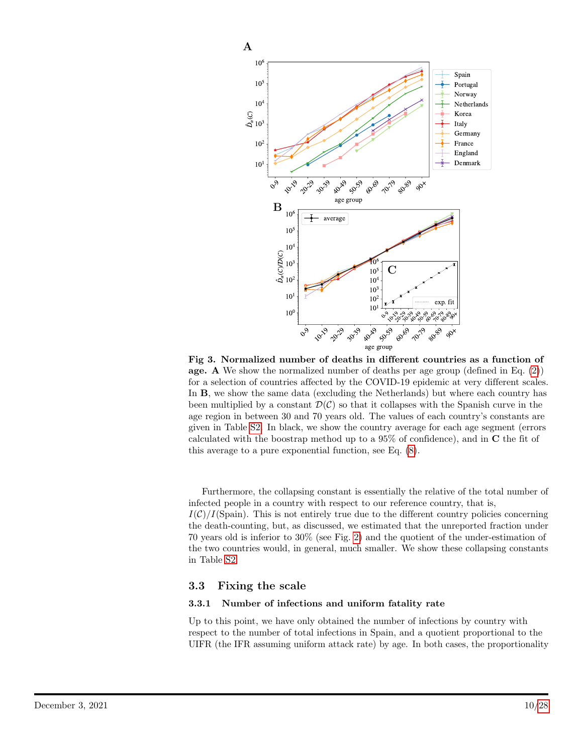<span id="page-9-1"></span>

Fig 3. Normalized number of deaths in different countries as a function of age. A We show the normalized number of deaths per age group (defined in Eq. [\(2\)](#page-4-2)) for a selection of countries affected by the COVID-19 epidemic at very different scales. In B, we show the same data (excluding the Netherlands) but where each country has been multiplied by a constant  $\mathcal{D}(\mathcal{C})$  so that it collapses with the Spanish curve in the age region in between 30 and 70 years old. The values of each country's constants are given in Table [S2.](#page-25-1) In black, we show the country average for each age segment (errors calculated with the boostrap method up to a 95% of confidence), and in C the fit of this average to a pure exponential function, see Eq. [\(8\)](#page-8-2).

Furthermore, the collapsing constant is essentially the relative of the total number of infected people in a country with respect to our reference country, that is,  $I(\mathcal{C})/I(\text{Span})$ . This is not entirely true due to the different country policies concerning the death-counting, but, as discussed, we estimated that the unreported fraction under 70 years old is inferior to 30% (see Fig. [2\)](#page-7-0) and the quotient of the under-estimation of the two countries would, in general, much smaller. We show these collapsing constants in Table [S2.](#page-25-1)

#### <span id="page-9-0"></span>3.3 Fixing the scale

#### 3.3.1 Number of infections and uniform fatality rate

Up to this point, we have only obtained the number of infections by country with respect to the number of total infections in Spain, and a quotient proportional to the UIFR (the IFR assuming uniform attack rate) by age. In both cases, the proportionality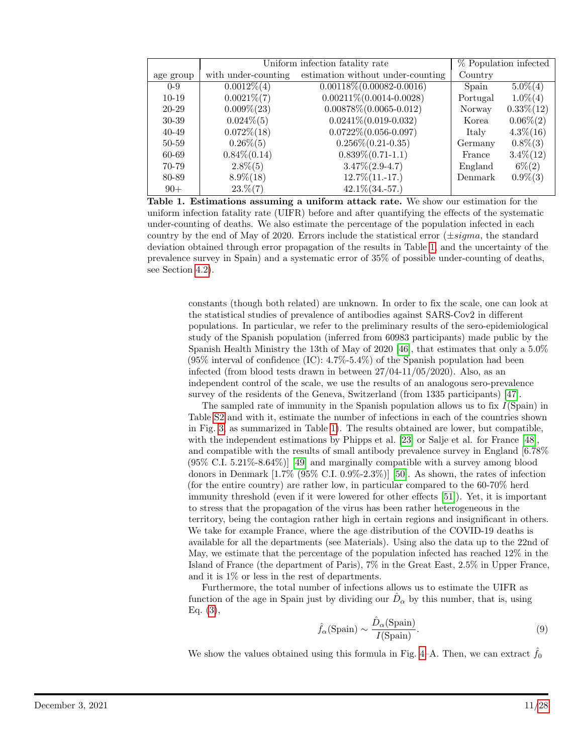<span id="page-10-0"></span>

|           | Uniform infection fatality rate | % Population infected             |          |               |
|-----------|---------------------------------|-----------------------------------|----------|---------------|
| age group | with under-counting             | estimation without under-counting | Country  |               |
| $0 - 9$   | $0.0012\% (4)$                  | $0.00118\%(0.00082-0.0016)$       | Spain    | $5.0\%(4)$    |
| $10-19$   | $0.0021\%$ (7)                  | $0.00211\% (0.0014 - 0.0028)$     | Portugal | $1.0\%$ $(4)$ |
| 20-29     | $0.009\%$ $(23)$                | $0.00878\%(0.0065-0.012)$         | Norway   | $0.33\%(12)$  |
| 30-39     | $0.024\%(5)$                    | $0.0241\%$ $(0.019-0.032)$        | Korea    | $0.06\%(2)$   |
| $40 - 49$ | $0.072\% (18)$                  | $0.0722\%(0.056-0.097)$           | Italy    | $4.3\% (16)$  |
| 50-59     | $0.26\%(5)$                     | $0.256\%(0.21-0.35)$              | Germany  | $0.8\%(3)$    |
| 60-69     | $0.84\%(0.14)$                  | $0.839\%(0.71-1.1)$               | France   | $3.4\%(12)$   |
| 70-79     | $2.8\%(5)$                      | $3.47\%(2.9-4.7)$                 | England  | $6\% (2)$     |
| 80-89     | $8.9\% (18)$                    | $12.7\% (11.-17.)$                | Denmark  | $0.9\%(3)$    |
| $90+$     | $23. \% (7)$                    | $42.1\% (34.-57.)$                |          |               |

Table 1. Estimations assuming a uniform attack rate. We show our estimation for the uniform infection fatality rate (UIFR) before and after quantifying the effects of the systematic under-counting of deaths. We also estimate the percentage of the population infected in each country by the end of May of 2020. Errors include the statistical error  $(\pm sigma,$  the standard deviation obtained through error propagation of the results in Table [1,](#page-10-0) and the uncertainty of the prevalence survey in Spain) and a systematic error of 35% of possible under-counting of deaths, see Section [4.2\)](#page-14-0).

constants (though both related) are unknown. In order to fix the scale, one can look at the statistical studies of prevalence of antibodies against SARS-Cov2 in different populations. In particular, we refer to the preliminary results of the sero-epidemiological study of the Spanish population (inferred from 60983 participants) made public by the Spanish Health Ministry the 13th of May of 2020 [\[46\]](#page-20-0), that estimates that only a 5.0%  $(95\%$  interval of confidence  $(IC): 4.7\% - 5.4\%)$  of the Spanish population had been infected (from blood tests drawn in between 27/04-11/05/2020). Also, as an independent control of the scale, we use the results of an analogous sero-prevalence survey of the residents of the Geneva, Switzerland (from 1335 participants) [\[47\]](#page-20-1).

The sampled rate of immunity in the Spanish population allows us to fix  $I(Spain)$  in Table [S2](#page-25-1) and with it, estimate the number of infections in each of the countries shown in Fig. [3,](#page-9-1) as summarized in Table [1\)](#page-10-0). The results obtained are lower, but compatible, with the independent estimations by Phipps et al. [\[23\]](#page-18-2) or Salje et al. for France [\[48\]](#page-20-2), and compatible with the results of small antibody prevalence survey in England [6.78% (95% C.I. 5.21%-8.64%)] [\[49\]](#page-20-3) and marginally compatible with a survey among blood donors in Denmark  $[1.7\% \ (95\% \ C.I. \ 0.9\% - 2.3\%)]$  [\[50\]](#page-20-4). As shown, the rates of infection (for the entire country) are rather low, in particular compared to the 60-70% herd immunity threshold (even if it were lowered for other effects [\[51\]](#page-20-5)). Yet, it is important to stress that the propagation of the virus has been rather heterogeneous in the territory, being the contagion rather high in certain regions and insignificant in others. We take for example France, where the age distribution of the COVID-19 deaths is available for all the departments (see Materials). Using also the data up to the 22nd of May, we estimate that the percentage of the population infected has reached 12% in the Island of France (the department of Paris), 7% in the Great East, 2.5% in Upper France, and it is 1% or less in the rest of departments.

Furthermore, the total number of infections allows us to estimate the UIFR as function of the age in Spain just by dividing our  $\hat{D}_{\alpha}$  by this number, that is, using Eq. [\(3\)](#page-4-3),

<span id="page-10-1"></span>
$$
\hat{f}_{\alpha}(\text{Spain}) \sim \frac{\hat{D}_{\alpha}(\text{Spain})}{I(\text{Spain})}.\tag{9}
$$

We show the values obtained using this formula in Fig. [4–](#page-21-0)A. Then, we can extract  $\hat{f}_0$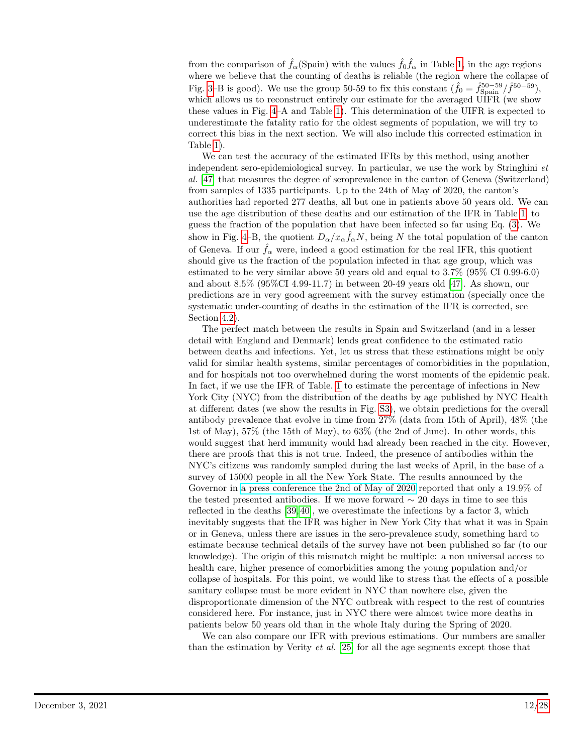from the comparison of  $\hat{f}_{\alpha}$ (Spain) with the values  $\hat{f}_{0}\hat{f}_{\alpha}$  in Table [1,](#page-10-0) in the age regions where we believe that the counting of deaths is reliable (the region where the collapse of Fig. [3–](#page-9-1)B is good). We use the group 50-59 to fix this constant  $(\hat{f}_0 = \hat{f}_{\text{Spin}}^{50-59}/\hat{f}^{50-59})$ , which allows us to reconstruct entirely our estimate for the averaged UIFR (we show these values in Fig. [4–](#page-21-0)A and Table [1\)](#page-10-0). This determination of the UIFR is expected to underestimate the fatality ratio for the oldest segments of population, we will try to correct this bias in the next section. We will also include this corrected estimation in Table [1\)](#page-10-0).

We can test the accuracy of the estimated IFRs by this method, using another independent sero-epidemiological survey. In particular, we use the work by Stringhini et al. [\[47\]](#page-20-1) that measures the degree of seroprevalence in the canton of Geneva (Switzerland) from samples of 1335 participants. Up to the 24th of May of 2020, the canton's authorities had reported 277 deaths, all but one in patients above 50 years old. We can use the age distribution of these deaths and our estimation of the IFR in Table [1,](#page-10-0) to guess the fraction of the population that have been infected so far using Eq. [\(3\)](#page-4-3). We show in Fig. [4–](#page-21-0)B, the quotient  $D_{\alpha}/x_{\alpha} \hat{f}_{\alpha} N$ , being N the total population of the canton of Geneva. If our  $\hat{f}_{\alpha}$  were, indeed a good estimation for the real IFR, this quotient should give us the fraction of the population infected in that age group, which was estimated to be very similar above 50 years old and equal to 3.7% (95% CI 0.99-6.0) and about 8.5% (95%CI 4.99-11.7) in between 20-49 years old [\[47\]](#page-20-1). As shown, our predictions are in very good agreement with the survey estimation (specially once the systematic under-counting of deaths in the estimation of the IFR is corrected, see Section [4.2\)](#page-14-0).

The perfect match between the results in Spain and Switzerland (and in a lesser detail with England and Denmark) lends great confidence to the estimated ratio between deaths and infections. Yet, let us stress that these estimations might be only valid for similar health systems, similar percentages of comorbidities in the population, and for hospitals not too overwhelmed during the worst moments of the epidemic peak. In fact, if we use the IFR of Table. [1](#page-10-0) to estimate the percentage of infections in New York City (NYC) from the distribution of the deaths by age published by NYC Health at different dates (we show the results in Fig. [S3\)](#page-27-1), we obtain predictions for the overall antibody prevalence that evolve in time from 27% (data from 15th of April), 48% (the 1st of May), 57% (the 15th of May), to 63% (the 2nd of June). In other words, this would suggest that herd immunity would had already been reached in the city. However, there are proofs that this is not true. Indeed, the presence of antibodies within the NYC's citizens was randomly sampled during the last weeks of April, in the base of a survey of 15000 people in all the New York State. The results announced by the Governor in [a press conference the 2nd of May of 2020](https://www.governor.ny.gov/news/amid-ongoing-covid-19-pandemic-governor-cuomo-announces-results-completed-antibody-testing) reported that only a 19.9% of the tested presented antibodies. If we move forward  $\sim 20$  days in time to see this reflected in the deaths [\[39,](#page-19-6) [40\]](#page-19-12), we overestimate the infections by a factor 3, which inevitably suggests that the IFR was higher in New York City that what it was in Spain or in Geneva, unless there are issues in the sero-prevalence study, something hard to estimate because technical details of the survey have not been published so far (to our knowledge). The origin of this mismatch might be multiple: a non universal access to health care, higher presence of comorbidities among the young population and/or collapse of hospitals. For this point, we would like to stress that the effects of a possible sanitary collapse must be more evident in NYC than nowhere else, given the disproportionate dimension of the NYC outbreak with respect to the rest of countries considered here. For instance, just in NYC there were almost twice more deaths in patients below 50 years old than in the whole Italy during the Spring of 2020.

We can also compare our IFR with previous estimations. Our numbers are smaller than the estimation by Verity et al. [\[25\]](#page-18-7) for all the age segments except those that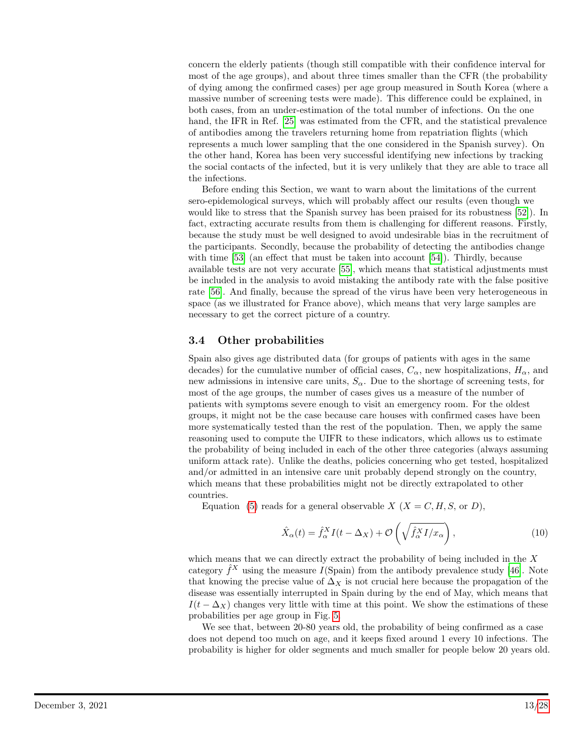concern the elderly patients (though still compatible with their confidence interval for most of the age groups), and about three times smaller than the CFR (the probability of dying among the confirmed cases) per age group measured in South Korea (where a massive number of screening tests were made). This difference could be explained, in both cases, from an under-estimation of the total number of infections. On the one hand, the IFR in Ref. [\[25\]](#page-18-7) was estimated from the CFR, and the statistical prevalence of antibodies among the travelers returning home from repatriation flights (which represents a much lower sampling that the one considered in the Spanish survey). On the other hand, Korea has been very successful identifying new infections by tracking the social contacts of the infected, but it is very unlikely that they are able to trace all the infections.

Before ending this Section, we want to warn about the limitations of the current sero-epidemological surveys, which will probably affect our results (even though we would like to stress that the Spanish survey has been praised for its robustness [\[52\]](#page-20-6)). In fact, extracting accurate results from them is challenging for different reasons. Firstly, because the study must be well designed to avoid undesirable bias in the recruitment of the participants. Secondly, because the probability of detecting the antibodies change with time [\[53\]](#page-20-7) (an effect that must be taken into account [\[54\]](#page-20-8)). Thirdly, because available tests are not very accurate [\[55\]](#page-20-9), which means that statistical adjustments must be included in the analysis to avoid mistaking the antibody rate with the false positive rate [\[56\]](#page-20-10). And finally, because the spread of the virus have been very heterogeneous in space (as we illustrated for France above), which means that very large samples are necessary to get the correct picture of a country.

### <span id="page-12-0"></span>3.4 Other probabilities

Spain also gives age distributed data (for groups of patients with ages in the same decades) for the cumulative number of official cases,  $C_{\alpha}$ , new hospitalizations,  $H_{\alpha}$ , and new admissions in intensive care units,  $S_{\alpha}$ . Due to the shortage of screening tests, for most of the age groups, the number of cases gives us a measure of the number of patients with symptoms severe enough to visit an emergency room. For the oldest groups, it might not be the case because care houses with confirmed cases have been more systematically tested than the rest of the population. Then, we apply the same reasoning used to compute the UIFR to these indicators, which allows us to estimate the probability of being included in each of the other three categories (always assuming uniform attack rate). Unlike the deaths, policies concerning who get tested, hospitalized and/or admitted in an intensive care unit probably depend strongly on the country, which means that these probabilities might not be directly extrapolated to other countries.

Equation [\(5\)](#page-6-3) reads for a general observable  $X$  ( $X = C, H, S$ , or D),

$$
\hat{X}_{\alpha}(t) = \hat{f}_{\alpha}^{X} I(t - \Delta_{X}) + \mathcal{O}\left(\sqrt{\hat{f}_{\alpha}^{X} I/x_{\alpha}}\right),\tag{10}
$$

which means that we can directly extract the probability of being included in the  $X$ category  $\hat{f}^X$  using the measure  $I(\text{Span})$  from the antibody prevalence study [\[46\]](#page-20-0). Note that knowing the precise value of  $\Delta_X$  is not crucial here because the propagation of the disease was essentially interrupted in Spain during by the end of May, which means that  $I(t - \Delta_X)$  changes very little with time at this point. We show the estimations of these probabilities per age group in Fig. [5.](#page-22-0)

We see that, between 20-80 years old, the probability of being confirmed as a case does not depend too much on age, and it keeps fixed around 1 every 10 infections. The probability is higher for older segments and much smaller for people below 20 years old.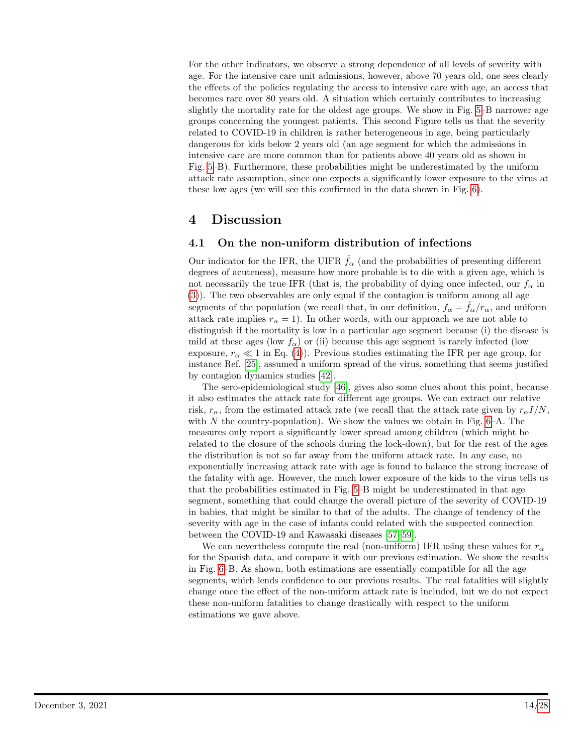For the other indicators, we observe a strong dependence of all levels of severity with age. For the intensive care unit admissions, however, above 70 years old, one sees clearly the effects of the policies regulating the access to intensive care with age, an access that becomes rare over 80 years old. A situation which certainly contributes to increasing slightly the mortality rate for the oldest age groups. We show in Fig. [5–](#page-22-0)B narrower age groups concerning the youngest patients. This second Figure tells us that the severity related to COVID-19 in children is rather heterogeneous in age, being particularly dangerous for kids below 2 years old (an age segment for which the admissions in intensive care are more common than for patients above 40 years old as shown in Fig. [5–](#page-22-0)B). Furthermore, these probabilities might be underestimated by the uniform attack rate assumption, since one expects a significantly lower exposure to the virus at these low ages (we will see this confirmed in the data shown in Fig. [6\)](#page-23-0).

# 4 Discussion

### <span id="page-13-0"></span>4.1 On the non-uniform distribution of infections

Our indicator for the IFR, the UIFR  $\hat{f}_{\alpha}$  (and the probabilities of presenting different degrees of acuteness), measure how more probable is to die with a given age, which is not necessarily the true IFR (that is, the probability of dying once infected, our  $f_{\alpha}$  in [\(3\)](#page-4-3)). The two observables are only equal if the contagion is uniform among all age segments of the population (we recall that, in our definition,  $f_{\alpha} = f_{\alpha}/r_{\alpha}$ , and uniform attack rate implies  $r_{\alpha} = 1$ ). In other words, with our approach we are not able to distinguish if the mortality is low in a particular age segment because (i) the disease is mild at these ages (low  $f_{\alpha}$ ) or (ii) because this age segment is rarely infected (low exposure,  $r_{\alpha} \ll 1$  in Eq. [\(4\)](#page-4-4)). Previous studies estimating the IFR per age group, for instance Ref. [\[25\]](#page-18-7), assumed a uniform spread of the virus, something that seems justified by contagion dynamics studies [\[42\]](#page-19-8).

The sero-epidemiological study [\[46\]](#page-20-0), gives also some clues about this point, because it also estimates the attack rate for different age groups. We can extract our relative risk,  $r_{\alpha}$ , from the estimated attack rate (we recall that the attack rate given by  $r_{\alpha}I/N$ , with N the country-population). We show the values we obtain in Fig.  $6-A$ . The measures only report a significantly lower spread among children (which might be related to the closure of the schools during the lock-down), but for the rest of the ages the distribution is not so far away from the uniform attack rate. In any case, no exponentially increasing attack rate with age is found to balance the strong increase of the fatality with age. However, the much lower exposure of the kids to the virus tells us that the probabilities estimated in Fig. [5–](#page-22-0)B might be underestimated in that age segment, something that could change the overall picture of the severity of COVID-19 in babies, that might be similar to that of the adults. The change of tendency of the severity with age in the case of infants could related with the suspected connection between the COVID-19 and Kawasaki diseases [\[57–](#page-20-11)[59\]](#page-20-12).

We can nevertheless compute the real (non-uniform) IFR using these values for  $r_{\alpha}$ for the Spanish data, and compare it with our previous estimation. We show the results in Fig. [6–](#page-23-0)B. As shown, both estimations are essentially compatible for all the age segments, which lends confidence to our previous results. The real fatalities will slightly change once the effect of the non-uniform attack rate is included, but we do not expect these non-uniform fatalities to change drastically with respect to the uniform estimations we gave above.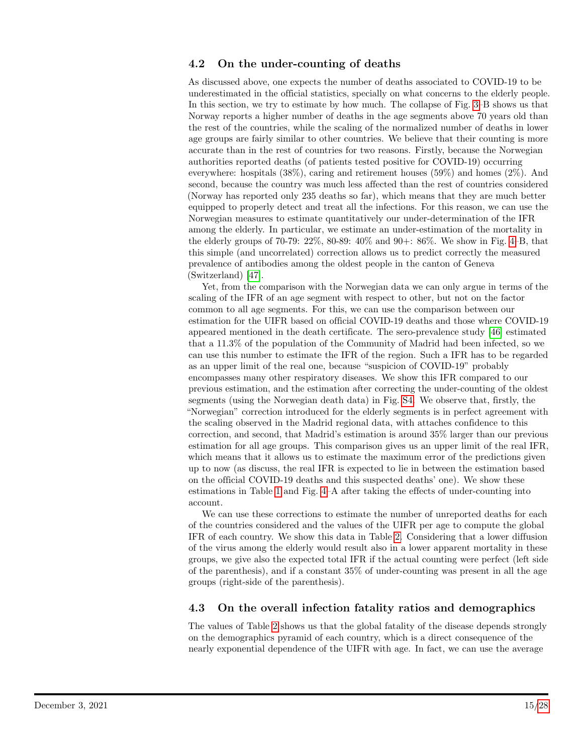### <span id="page-14-0"></span>4.2 On the under-counting of deaths

As discussed above, one expects the number of deaths associated to COVID-19 to be underestimated in the official statistics, specially on what concerns to the elderly people. In this section, we try to estimate by how much. The collapse of Fig. [3–](#page-9-1)B shows us that Norway reports a higher number of deaths in the age segments above 70 years old than the rest of the countries, while the scaling of the normalized number of deaths in lower age groups are fairly similar to other countries. We believe that their counting is more accurate than in the rest of countries for two reasons. Firstly, because the Norwegian authorities reported deaths (of patients tested positive for COVID-19) occurring everywhere: hospitals (38%), caring and retirement houses (59%) and homes (2%). And second, because the country was much less affected than the rest of countries considered (Norway has reported only 235 deaths so far), which means that they are much better equipped to properly detect and treat all the infections. For this reason, we can use the Norwegian measures to estimate quantitatively our under-determination of the IFR among the elderly. In particular, we estimate an under-estimation of the mortality in the elderly groups of 70-79: 22%, 80-89: 40% and 90+: 86%. We show in Fig. [4–](#page-21-0)B, that this simple (and uncorrelated) correction allows us to predict correctly the measured prevalence of antibodies among the oldest people in the canton of Geneva (Switzerland) [\[47\]](#page-20-1).

Yet, from the comparison with the Norwegian data we can only argue in terms of the scaling of the IFR of an age segment with respect to other, but not on the factor common to all age segments. For this, we can use the comparison between our estimation for the UIFR based on official COVID-19 deaths and those where COVID-19 appeared mentioned in the death certificate. The sero-prevalence study [\[46\]](#page-20-0) estimated that a 11.3% of the population of the Community of Madrid had been infected, so we can use this number to estimate the IFR of the region. Such a IFR has to be regarded as an upper limit of the real one, because "suspicion of COVID-19" probably encompasses many other respiratory diseases. We show this IFR compared to our previous estimation, and the estimation after correcting the under-counting of the oldest segments (using the Norwegian death data) in Fig. [S4.](#page-27-2) We observe that, firstly, the "Norwegian" correction introduced for the elderly segments is in perfect agreement with the scaling observed in the Madrid regional data, with attaches confidence to this correction, and second, that Madrid's estimation is around 35% larger than our previous estimation for all age groups. This comparison gives us an upper limit of the real IFR, which means that it allows us to estimate the maximum error of the predictions given up to now (as discuss, the real IFR is expected to lie in between the estimation based on the official COVID-19 deaths and this suspected deaths' one). We show these estimations in Table [1](#page-10-0) and Fig. [4–](#page-21-0)A after taking the effects of under-counting into account.

We can use these corrections to estimate the number of unreported deaths for each of the countries considered and the values of the UIFR per age to compute the global IFR of each country. We show this data in Table [2.](#page-15-0) Considering that a lower diffusion of the virus among the elderly would result also in a lower apparent mortality in these groups, we give also the expected total IFR if the actual counting were perfect (left side of the parenthesis), and if a constant 35% of under-counting was present in all the age groups (right-side of the parenthesis).

### <span id="page-14-1"></span>4.3 On the overall infection fatality ratios and demographics

The values of Table [2](#page-15-0) shows us that the global fatality of the disease depends strongly on the demographics pyramid of each country, which is a direct consequence of the nearly exponential dependence of the UIFR with age. In fact, we can use the average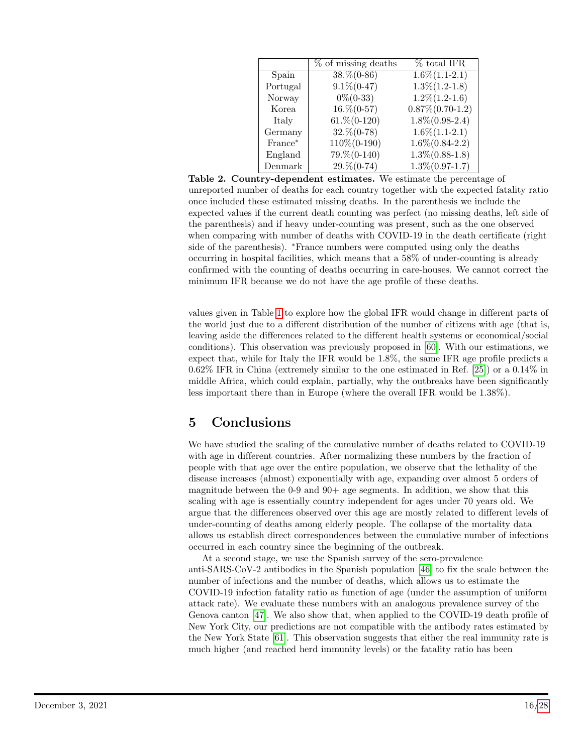<span id="page-15-0"></span>

|              | % of missing deaths | % total IFR         |
|--------------|---------------------|---------------------|
| Spain        | $38.\% (0-86)$      | $1.6\%(1.1-2.1)$    |
| Portugal     | $9.1\% (0-47)$      | $1.3\% (1.2 - 1.8)$ |
| Norway       | $0\%$ (0-33)        | $1.2\% (1.2 - 1.6)$ |
| <b>Korea</b> | $16.\% (0-57)$      | $0.87\% (0.70-1.2)$ |
| Italy        | $61.\% (0-120)$     | $1.8\%(0.98-2.4)$   |
| Germany      | $32.\%(0-78)$       | $1.6\%(1.1-2.1)$    |
| France*      | 110\%(0-190)        | $1.6\%(0.84-2.2)$   |
| England      | $79. \% (0-140)$    | $1.3\%(0.88-1.8)$   |
| Denmark      | $29. \% (0-74)$     | $1.3\%(0.97-1.7)$   |

Table 2. Country-dependent estimates. We estimate the percentage of unreported number of deaths for each country together with the expected fatality ratio once included these estimated missing deaths. In the parenthesis we include the expected values if the current death counting was perfect (no missing deaths, left side of the parenthesis) and if heavy under-counting was present, such as the one observed when comparing with number of deaths with COVID-19 in the death certificate (right side of the parenthesis). <sup>∗</sup>France numbers were computed using only the deaths occurring in hospital facilities, which means that a 58% of under-counting is already confirmed with the counting of deaths occurring in care-houses. We cannot correct the minimum IFR because we do not have the age profile of these deaths.

values given in Table [1](#page-10-0) to explore how the global IFR would change in different parts of the world just due to a different distribution of the number of citizens with age (that is, leaving aside the differences related to the different health systems or economical/social conditions). This observation was previously proposed in [\[60\]](#page-20-13). With our estimations, we expect that, while for Italy the IFR would be 1.8%, the same IFR age profile predicts a 0.62% IFR in China (extremely similar to the one estimated in Ref. [\[25\]](#page-18-7)) or a 0.14% in middle Africa, which could explain, partially, why the outbreaks have been significantly less important there than in Europe (where the overall IFR would be 1.38%).

# 5 Conclusions

We have studied the scaling of the cumulative number of deaths related to COVID-19 with age in different countries. After normalizing these numbers by the fraction of people with that age over the entire population, we observe that the lethality of the disease increases (almost) exponentially with age, expanding over almost 5 orders of magnitude between the  $0.9$  and  $90+$  age segments. In addition, we show that this scaling with age is essentially country independent for ages under 70 years old. We argue that the differences observed over this age are mostly related to different levels of under-counting of deaths among elderly people. The collapse of the mortality data allows us establish direct correspondences between the cumulative number of infections occurred in each country since the beginning of the outbreak.

At a second stage, we use the Spanish survey of the sero-prevalence anti-SARS-CoV-2 antibodies in the Spanish population [\[46\]](#page-20-0) to fix the scale between the number of infections and the number of deaths, which allows us to estimate the COVID-19 infection fatality ratio as function of age (under the assumption of uniform attack rate). We evaluate these numbers with an analogous prevalence survey of the Genova canton [\[47\]](#page-20-1). We also show that, when applied to the COVID-19 death profile of New York City, our predictions are not compatible with the antibody rates estimated by the New York State [\[61\]](#page-20-14). This observation suggests that either the real immunity rate is much higher (and reached herd immunity levels) or the fatality ratio has been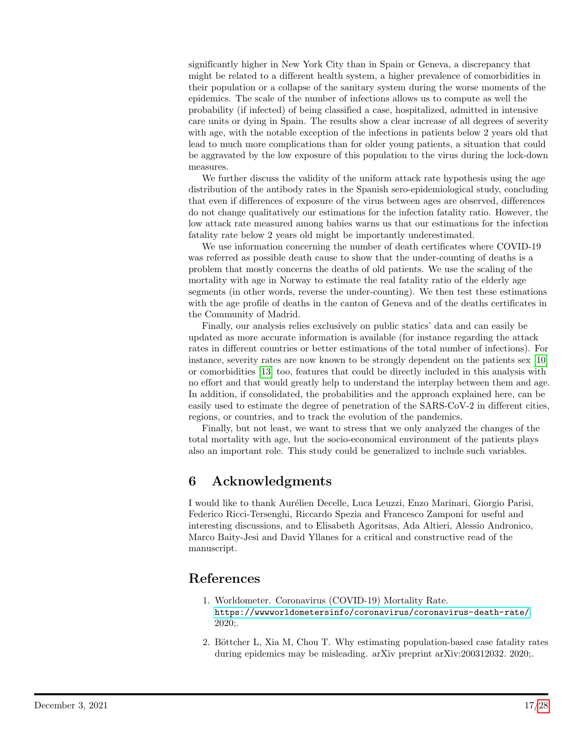significantly higher in New York City than in Spain or Geneva, a discrepancy that might be related to a different health system, a higher prevalence of comorbidities in their population or a collapse of the sanitary system during the worse moments of the epidemics. The scale of the number of infections allows us to compute as well the probability (if infected) of being classified a case, hospitalized, admitted in intensive care units or dying in Spain. The results show a clear increase of all degrees of severity with age, with the notable exception of the infections in patients below 2 years old that lead to much more complications than for older young patients, a situation that could be aggravated by the low exposure of this population to the virus during the lock-down measures.

We further discuss the validity of the uniform attack rate hypothesis using the age distribution of the antibody rates in the Spanish sero-epidemiological study, concluding that even if differences of exposure of the virus between ages are observed, differences do not change qualitatively our estimations for the infection fatality ratio. However, the low attack rate measured among babies warns us that our estimations for the infection fatality rate below 2 years old might be importantly underestimated.

We use information concerning the number of death certificates where COVID-19 was referred as possible death cause to show that the under-counting of deaths is a problem that mostly concerns the deaths of old patients. We use the scaling of the mortality with age in Norway to estimate the real fatality ratio of the elderly age segments (in other words, reverse the under-counting). We then test these estimations with the age profile of deaths in the canton of Geneva and of the deaths certificates in the Community of Madrid.

Finally, our analysis relies exclusively on public statics' data and can easily be updated as more accurate information is available (for instance regarding the attack rates in different countries or better estimations of the total number of infections). For instance, severity rates are now known to be strongly dependent on the patients sex [\[10\]](#page-17-4) or comorbidities [\[13\]](#page-17-6) too, features that could be directly included in this analysis with no effort and that would greatly help to understand the interplay between them and age. In addition, if consolidated, the probabilities and the approach explained here, can be easily used to estimate the degree of penetration of the SARS-CoV-2 in different cities, regions, or countries, and to track the evolution of the pandemics.

Finally, but not least, we want to stress that we only analyzed the changes of the total mortality with age, but the socio-economical environment of the patients plays also an important role. This study could be generalized to include such variables.

# 6 Acknowledgments

I would like to thank Aur´elien Decelle, Luca Leuzzi, Enzo Marinari, Giorgio Parisi, Federico Ricci-Tersenghi, Riccardo Spezia and Francesco Zamponi for useful and interesting discussions, and to Elisabeth Agoritsas, Ada Altieri, Alessio Andronico, Marco Baity-Jesi and David Yllanes for a critical and constructive read of the manuscript.

# References

- <span id="page-16-0"></span>1. Worldometer. Coronavirus (COVID-19) Mortality Rate. <https://wwwworldometersinfo/coronavirus/coronavirus-death-rate/>. 2020;.
- <span id="page-16-1"></span>2. Böttcher L, Xia M, Chou T. Why estimating population-based case fatality rates during epidemics may be misleading. arXiv preprint arXiv:200312032. 2020;.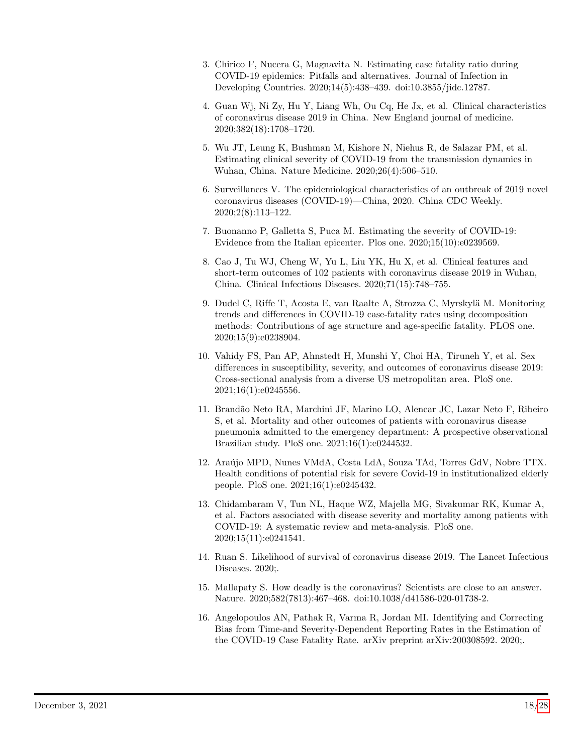- <span id="page-17-0"></span>3. Chirico F, Nucera G, Magnavita N. Estimating case fatality ratio during COVID-19 epidemics: Pitfalls and alternatives. Journal of Infection in Developing Countries. 2020;14(5):438–439. doi:10.3855/jidc.12787.
- <span id="page-17-1"></span>4. Guan Wj, Ni Zy, Hu Y, Liang Wh, Ou Cq, He Jx, et al. Clinical characteristics of coronavirus disease 2019 in China. New England journal of medicine. 2020;382(18):1708–1720.
- 5. Wu JT, Leung K, Bushman M, Kishore N, Niehus R, de Salazar PM, et al. Estimating clinical severity of COVID-19 from the transmission dynamics in Wuhan, China. Nature Medicine. 2020;26(4):506–510.
- 6. Surveillances V. The epidemiological characteristics of an outbreak of 2019 novel coronavirus diseases (COVID-19)—China, 2020. China CDC Weekly. 2020;2(8):113–122.
- 7. Buonanno P, Galletta S, Puca M. Estimating the severity of COVID-19: Evidence from the Italian epicenter. Plos one. 2020;15(10):e0239569.
- <span id="page-17-2"></span>8. Cao J, Tu WJ, Cheng W, Yu L, Liu YK, Hu X, et al. Clinical features and short-term outcomes of 102 patients with coronavirus disease 2019 in Wuhan, China. Clinical Infectious Diseases. 2020;71(15):748–755.
- <span id="page-17-3"></span>9. Dudel C, Riffe T, Acosta E, van Raalte A, Strozza C, Myrskylä M. Monitoring trends and differences in COVID-19 case-fatality rates using decomposition methods: Contributions of age structure and age-specific fatality. PLOS one. 2020;15(9):e0238904.
- <span id="page-17-4"></span>10. Vahidy FS, Pan AP, Ahnstedt H, Munshi Y, Choi HA, Tiruneh Y, et al. Sex differences in susceptibility, severity, and outcomes of coronavirus disease 2019: Cross-sectional analysis from a diverse US metropolitan area. PloS one. 2021;16(1):e0245556.
- <span id="page-17-5"></span>11. Brand˜ao Neto RA, Marchini JF, Marino LO, Alencar JC, Lazar Neto F, Ribeiro S, et al. Mortality and other outcomes of patients with coronavirus disease pneumonia admitted to the emergency department: A prospective observational Brazilian study. PloS one. 2021;16(1):e0244532.
- 12. Araújo MPD, Nunes VMdA, Costa LdA, Souza TAd, Torres GdV, Nobre TTX. Health conditions of potential risk for severe Covid-19 in institutionalized elderly people. PloS one. 2021;16(1):e0245432.
- <span id="page-17-6"></span>13. Chidambaram V, Tun NL, Haque WZ, Majella MG, Sivakumar RK, Kumar A, et al. Factors associated with disease severity and mortality among patients with COVID-19: A systematic review and meta-analysis. PloS one. 2020;15(11):e0241541.
- <span id="page-17-7"></span>14. Ruan S. Likelihood of survival of coronavirus disease 2019. The Lancet Infectious Diseases. 2020;.
- <span id="page-17-8"></span>15. Mallapaty S. How deadly is the coronavirus? Scientists are close to an answer. Nature. 2020;582(7813):467–468. doi:10.1038/d41586-020-01738-2.
- <span id="page-17-9"></span>16. Angelopoulos AN, Pathak R, Varma R, Jordan MI. Identifying and Correcting Bias from Time-and Severity-Dependent Reporting Rates in the Estimation of the COVID-19 Case Fatality Rate. arXiv preprint arXiv:200308592. 2020;.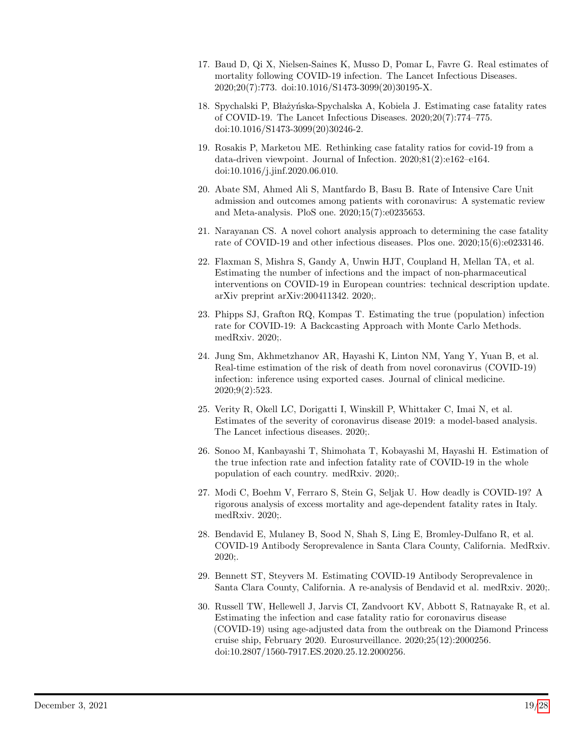- 17. Baud D, Qi X, Nielsen-Saines K, Musso D, Pomar L, Favre G. Real estimates of mortality following COVID-19 infection. The Lancet Infectious Diseases. 2020;20(7):773. doi:10.1016/S1473-3099(20)30195-X.
- 18. Spychalski P, Błażyńska-Spychalska A, Kobiela J. Estimating case fatality rates of COVID-19. The Lancet Infectious Diseases. 2020;20(7):774–775. doi:10.1016/S1473-3099(20)30246-2.
- 19. Rosakis P, Marketou ME. Rethinking case fatality ratios for covid-19 from a data-driven viewpoint. Journal of Infection. 2020;81(2):e162–e164. doi:10.1016/j.jinf.2020.06.010.
- 20. Abate SM, Ahmed Ali S, Mantfardo B, Basu B. Rate of Intensive Care Unit admission and outcomes among patients with coronavirus: A systematic review and Meta-analysis. PloS one. 2020;15(7):e0235653.
- <span id="page-18-0"></span>21. Narayanan CS. A novel cohort analysis approach to determining the case fatality rate of COVID-19 and other infectious diseases. Plos one. 2020;15(6):e0233146.
- <span id="page-18-1"></span>22. Flaxman S, Mishra S, Gandy A, Unwin HJT, Coupland H, Mellan TA, et al. Estimating the number of infections and the impact of non-pharmaceutical interventions on COVID-19 in European countries: technical description update. arXiv preprint arXiv:200411342. 2020;.
- <span id="page-18-2"></span>23. Phipps SJ, Grafton RQ, Kompas T. Estimating the true (population) infection rate for COVID-19: A Backcasting Approach with Monte Carlo Methods. medRxiv. 2020;.
- <span id="page-18-3"></span>24. Jung Sm, Akhmetzhanov AR, Hayashi K, Linton NM, Yang Y, Yuan B, et al. Real-time estimation of the risk of death from novel coronavirus (COVID-19) infection: inference using exported cases. Journal of clinical medicine. 2020;9(2):523.
- <span id="page-18-7"></span>25. Verity R, Okell LC, Dorigatti I, Winskill P, Whittaker C, Imai N, et al. Estimates of the severity of coronavirus disease 2019: a model-based analysis. The Lancet infectious diseases. 2020;.
- 26. Sonoo M, Kanbayashi T, Shimohata T, Kobayashi M, Hayashi H. Estimation of the true infection rate and infection fatality rate of COVID-19 in the whole population of each country. medRxiv. 2020;.
- <span id="page-18-4"></span>27. Modi C, Boehm V, Ferraro S, Stein G, Seljak U. How deadly is COVID-19? A rigorous analysis of excess mortality and age-dependent fatality rates in Italy. medRxiv. 2020;.
- <span id="page-18-5"></span>28. Bendavid E, Mulaney B, Sood N, Shah S, Ling E, Bromley-Dulfano R, et al. COVID-19 Antibody Seroprevalence in Santa Clara County, California. MedRxiv. 2020;.
- <span id="page-18-6"></span>29. Bennett ST, Steyvers M. Estimating COVID-19 Antibody Seroprevalence in Santa Clara County, California. A re-analysis of Bendavid et al. medRxiv. 2020;.
- <span id="page-18-8"></span>30. Russell TW, Hellewell J, Jarvis CI, Zandvoort KV, Abbott S, Ratnayake R, et al. Estimating the infection and case fatality ratio for coronavirus disease (COVID-19) using age-adjusted data from the outbreak on the Diamond Princess cruise ship, February 2020. Eurosurveillance. 2020;25(12):2000256. doi:10.2807/1560-7917.ES.2020.25.12.2000256.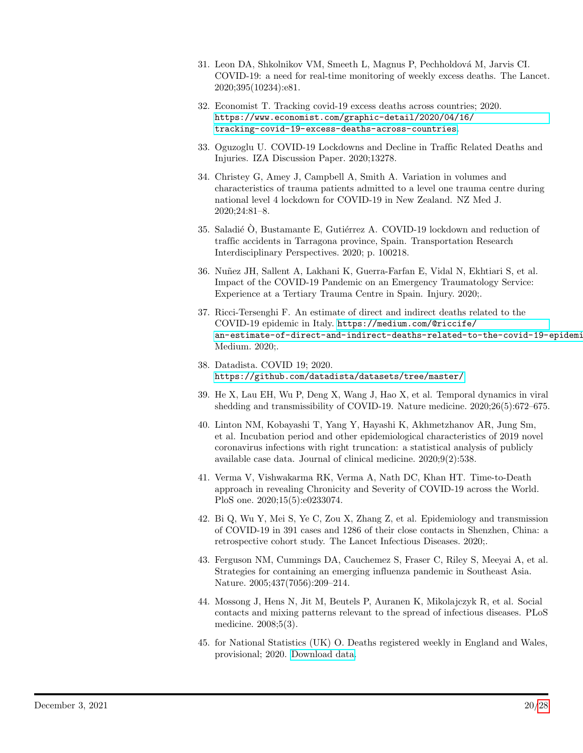- <span id="page-19-0"></span>31. Leon DA, Shkolnikov VM, Smeeth L, Magnus P, Pechholdová M, Jarvis CI. COVID-19: a need for real-time monitoring of weekly excess deaths. The Lancet. 2020;395(10234):e81.
- <span id="page-19-1"></span>32. Economist T. Tracking covid-19 excess deaths across countries; 2020. [https://www.economist.com/graphic-detail/2020/04/16/](https://www.economist.com/graphic-detail/2020/04/16/tracking-covid-19-excess-deaths-across-countries) [tracking-covid-19-excess-deaths-across-countries](https://www.economist.com/graphic-detail/2020/04/16/tracking-covid-19-excess-deaths-across-countries).
- <span id="page-19-2"></span>33. Oguzoglu U. COVID-19 Lockdowns and Decline in Traffic Related Deaths and Injuries. IZA Discussion Paper. 2020;13278.
- 34. Christey G, Amey J, Campbell A, Smith A. Variation in volumes and characteristics of trauma patients admitted to a level one trauma centre during national level 4 lockdown for COVID-19 in New Zealand. NZ Med J. 2020;24:81–8.
- 35. Saladié  $\hat{O}$ , Bustamante E, Gutiérrez A. COVID-19 lockdown and reduction of traffic accidents in Tarragona province, Spain. Transportation Research Interdisciplinary Perspectives. 2020; p. 100218.
- <span id="page-19-3"></span>36. Nu˜nez JH, Sallent A, Lakhani K, Guerra-Farfan E, Vidal N, Ekhtiari S, et al. Impact of the COVID-19 Pandemic on an Emergency Traumatology Service: Experience at a Tertiary Trauma Centre in Spain. Injury. 2020;.
- <span id="page-19-4"></span>37. Ricci-Tersenghi F. An estimate of direct and indirect deaths related to the COVID-19 epidemic in Italy. [https://medium.com/@riccife/](https://medium.com/@riccife/an-estimate-of-direct-and-indirect-deaths-related-to-the-covid-19-epidemic-in-italy-97a13c078df9) an-estimate-of-direct-and-indirect-deaths-related-to-the-covid-19-epidemi Medium. 2020;.
- <span id="page-19-5"></span>38. Datadista. COVID 19; 2020. <https://github.com/datadista/datasets/tree/master/>.
- <span id="page-19-6"></span>39. He X, Lau EH, Wu P, Deng X, Wang J, Hao X, et al. Temporal dynamics in viral shedding and transmissibility of COVID-19. Nature medicine. 2020;26(5):672–675.
- <span id="page-19-12"></span>40. Linton NM, Kobayashi T, Yang Y, Hayashi K, Akhmetzhanov AR, Jung Sm, et al. Incubation period and other epidemiological characteristics of 2019 novel coronavirus infections with right truncation: a statistical analysis of publicly available case data. Journal of clinical medicine. 2020;9(2):538.
- <span id="page-19-7"></span>41. Verma V, Vishwakarma RK, Verma A, Nath DC, Khan HT. Time-to-Death approach in revealing Chronicity and Severity of COVID-19 across the World. PloS one. 2020;15(5):e0233074.
- <span id="page-19-8"></span>42. Bi Q, Wu Y, Mei S, Ye C, Zou X, Zhang Z, et al. Epidemiology and transmission of COVID-19 in 391 cases and 1286 of their close contacts in Shenzhen, China: a retrospective cohort study. The Lancet Infectious Diseases. 2020;.
- <span id="page-19-9"></span>43. Ferguson NM, Cummings DA, Cauchemez S, Fraser C, Riley S, Meeyai A, et al. Strategies for containing an emerging influenza pandemic in Southeast Asia. Nature. 2005;437(7056):209–214.
- <span id="page-19-10"></span>44. Mossong J, Hens N, Jit M, Beutels P, Auranen K, Mikolajczyk R, et al. Social contacts and mixing patterns relevant to the spread of infectious diseases. PLoS medicine. 2008;5(3).
- <span id="page-19-11"></span>45. for National Statistics (UK) O. Deaths registered weekly in England and Wales, provisional; 2020. [Download data.](https://www.ons.gov.uk/file?uri=%2fpeoplepopulationandcommunity%2fbirthsdeathsandmarriages%2fdeaths%2fdatasets%2fweeklyprovisionalfiguresondeathsregisteredinenglandandwales%2f2020/publishedweek212020.xlsx)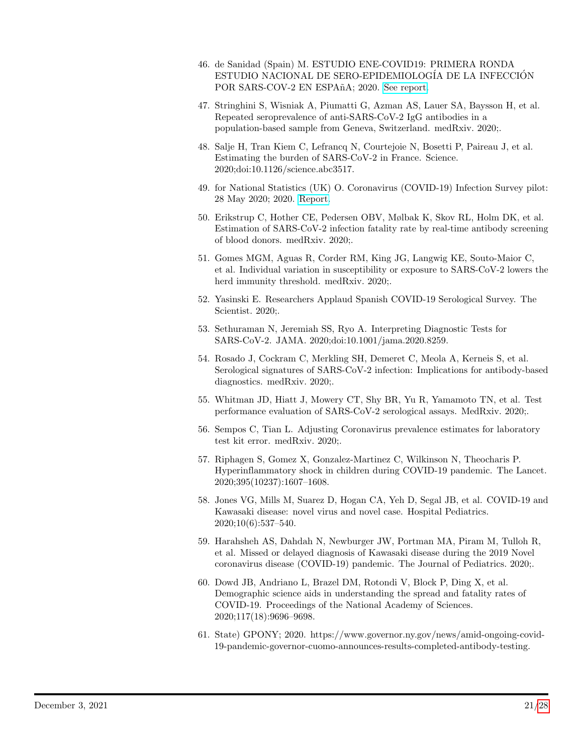- <span id="page-20-0"></span>46. de Sanidad (Spain) M. ESTUDIO ENE-COVID19: PRIMERA RONDA ESTUDIO NACIONAL DE SERO-EPIDEMIOLOG´IA DE LA INFECCION´ POR SARS-COV-2 EN ESPAñA; 2020. [See report.](https://www.mscbs.gob.es/ciudadanos/ene-covid/docs/ESTUDIO_ENE-COVID19_PRIMERA_RONDA_INFORME_PRELIMINAR.pdf)
- <span id="page-20-1"></span>47. Stringhini S, Wisniak A, Piumatti G, Azman AS, Lauer SA, Baysson H, et al. Repeated seroprevalence of anti-SARS-CoV-2 IgG antibodies in a population-based sample from Geneva, Switzerland. medRxiv. 2020;.
- <span id="page-20-2"></span>48. Salje H, Tran Kiem C, Lefrancq N, Courtejoie N, Bosetti P, Paireau J, et al. Estimating the burden of SARS-CoV-2 in France. Science. 2020;doi:10.1126/science.abc3517.
- <span id="page-20-3"></span>49. for National Statistics (UK) O. Coronavirus (COVID-19) Infection Survey pilot: 28 May 2020; 2020. [Report.](https://www.ons.gov.uk/peoplepopulationandcommunity/healthandsocialcare/conditionsanddiseases/bulletins/coronaviruscovid19infectionsurveypilot/28may2020#number-of-new-covid-19-cases-in-england)
- <span id="page-20-4"></span>50. Erikstrup C, Hother CE, Pedersen OBV, Mølbak K, Skov RL, Holm DK, et al. Estimation of SARS-CoV-2 infection fatality rate by real-time antibody screening of blood donors. medRxiv. 2020;.
- <span id="page-20-5"></span>51. Gomes MGM, Aguas R, Corder RM, King JG, Langwig KE, Souto-Maior C, et al. Individual variation in susceptibility or exposure to SARS-CoV-2 lowers the herd immunity threshold. medRxiv. 2020;.
- <span id="page-20-6"></span>52. Yasinski E. Researchers Applaud Spanish COVID-19 Serological Survey. The Scientist. 2020;.
- <span id="page-20-7"></span>53. Sethuraman N, Jeremiah SS, Ryo A. Interpreting Diagnostic Tests for SARS-CoV-2. JAMA. 2020;doi:10.1001/jama.2020.8259.
- <span id="page-20-8"></span>54. Rosado J, Cockram C, Merkling SH, Demeret C, Meola A, Kerneis S, et al. Serological signatures of SARS-CoV-2 infection: Implications for antibody-based diagnostics. medRxiv. 2020;.
- <span id="page-20-9"></span>55. Whitman JD, Hiatt J, Mowery CT, Shy BR, Yu R, Yamamoto TN, et al. Test performance evaluation of SARS-CoV-2 serological assays. MedRxiv. 2020;.
- <span id="page-20-10"></span>56. Sempos C, Tian L. Adjusting Coronavirus prevalence estimates for laboratory test kit error. medRxiv. 2020;.
- <span id="page-20-11"></span>57. Riphagen S, Gomez X, Gonzalez-Martinez C, Wilkinson N, Theocharis P. Hyperinflammatory shock in children during COVID-19 pandemic. The Lancet. 2020;395(10237):1607–1608.
- 58. Jones VG, Mills M, Suarez D, Hogan CA, Yeh D, Segal JB, et al. COVID-19 and Kawasaki disease: novel virus and novel case. Hospital Pediatrics. 2020;10(6):537–540.
- <span id="page-20-12"></span>59. Harahsheh AS, Dahdah N, Newburger JW, Portman MA, Piram M, Tulloh R, et al. Missed or delayed diagnosis of Kawasaki disease during the 2019 Novel coronavirus disease (COVID-19) pandemic. The Journal of Pediatrics. 2020;.
- <span id="page-20-13"></span>60. Dowd JB, Andriano L, Brazel DM, Rotondi V, Block P, Ding X, et al. Demographic science aids in understanding the spread and fatality rates of COVID-19. Proceedings of the National Academy of Sciences. 2020;117(18):9696–9698.
- <span id="page-20-14"></span>61. State) GPONY; 2020. https://www.governor.ny.gov/news/amid-ongoing-covid-19-pandemic-governor-cuomo-announces-results-completed-antibody-testing.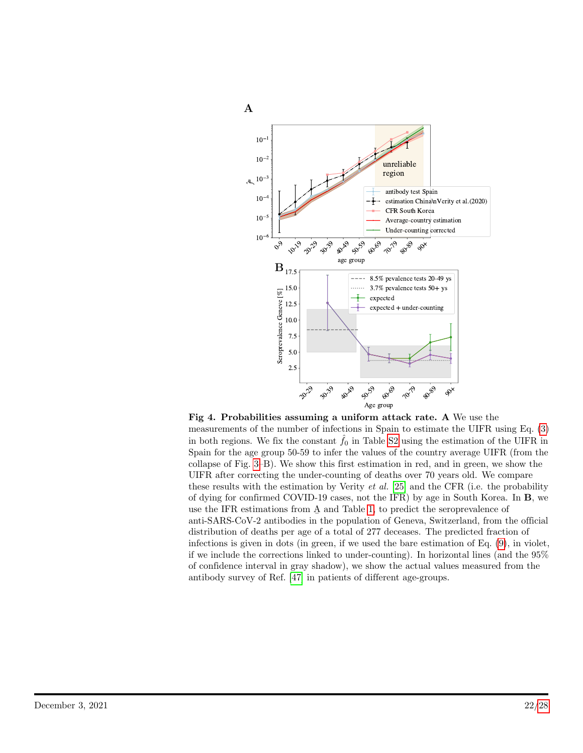<span id="page-21-0"></span>

Fig 4. Probabilities assuming a uniform attack rate. A We use the measurements of the number of infections in Spain to estimate the UIFR using Eq. [\(3\)](#page-4-3) in both regions. We fix the constant  $f_0$  in Table [S2](#page-25-1) using the estimation of the UIFR in Spain for the age group 50-59 to infer the values of the country average UIFR (from the collapse of Fig. [3–](#page-9-1)B). We show this first estimation in red, and in green, we show the UIFR after correcting the under-counting of deaths over 70 years old. We compare these results with the estimation by Verity  $et \ al.$  [\[25\]](#page-18-7) and the CFR (i.e. the probability of dying for confirmed COVID-19 cases, not the IFR) by age in South Korea. In B, we use the IFR estimations from A and Table [1,](#page-10-0) to predict the seroprevalence of anti-SARS-CoV-2 antibodies in the population of Geneva, Switzerland, from the official distribution of deaths per age of a total of 277 deceases. The predicted fraction of infections is given in dots (in green, if we used the bare estimation of Eq. [\(9\)](#page-10-1), in violet, if we include the corrections linked to under-counting). In horizontal lines (and the 95% of confidence interval in gray shadow), we show the actual values measured from the antibody survey of Ref. [\[47\]](#page-20-1) in patients of different age-groups.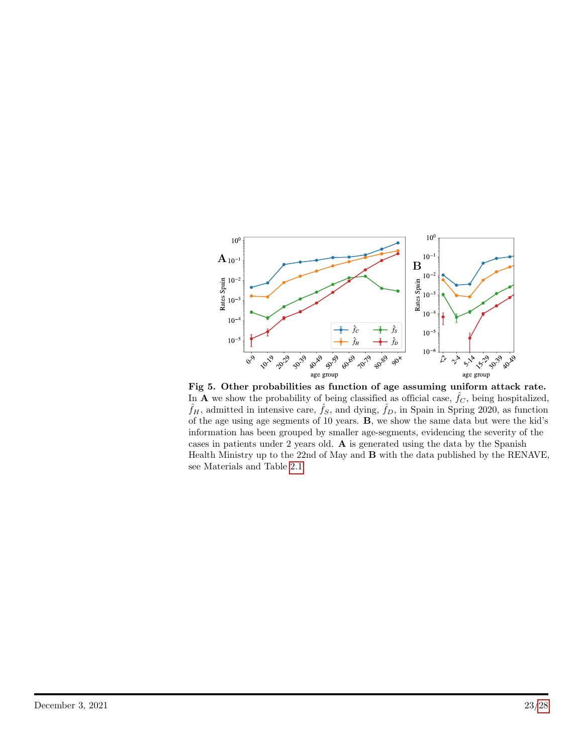<span id="page-22-0"></span>

Fig 5. Other probabilities as function of age assuming uniform attack rate. In **A** we show the probability of being classified as official case,  $\hat{f}_C$ , being hospitalized,  $\hat{f}_H$ , admitted in intensive care,  $\hat{f}_S$ , and dying,  $\hat{f}_D$ , in Spain in Spring 2020, as function of the age using age segments of 10 years. B, we show the same data but were the kid's information has been grouped by smaller age-segments, evidencing the severity of the cases in patients under 2 years old. A is generated using the data by the Spanish Health Ministry up to the 22nd of May and B with the data published by the RENAVE, see Materials and Table [2.1.](#page-2-0)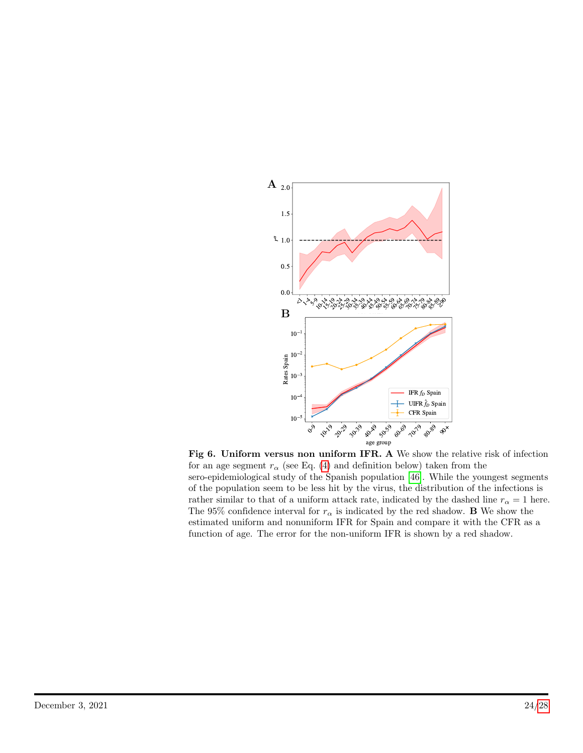<span id="page-23-0"></span>

Fig 6. Uniform versus non uniform IFR. A We show the relative risk of infection for an age segment  $r_{\alpha}$  (see Eq. [\(4\)](#page-4-4) and definition below) taken from the sero-epidemiological study of the Spanish population [\[46\]](#page-20-0). While the youngest segments of the population seem to be less hit by the virus, the distribution of the infections is rather similar to that of a uniform attack rate, indicated by the dashed line  $r_{\alpha} = 1$  here. The 95% confidence interval for  $r_{\alpha}$  is indicated by the red shadow. **B** We show the estimated uniform and nonuniform IFR for Spain and compare it with the CFR as a function of age. The error for the non-uniform IFR is shown by a red shadow.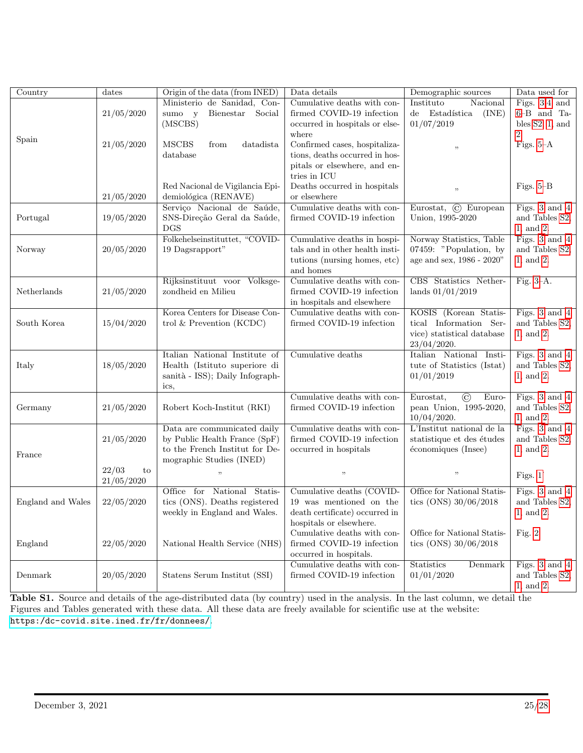<span id="page-24-0"></span>

| $\overline{\text{Country}}$ | dates       | Origin of the data (from INED)                                   | Data details                                              | Demographic sources                           | Data used for               |
|-----------------------------|-------------|------------------------------------------------------------------|-----------------------------------------------------------|-----------------------------------------------|-----------------------------|
|                             |             | Ministerio de Sanidad, Con-                                      | Cumulative deaths with con-                               | Instituto<br>Nacional                         | Figs. $3,4$ and             |
|                             | 21/05/2020  | Bienestar<br>Social<br>sumo y                                    | firmed COVID-19 infection                                 | $de$ Estadística<br>(INE)                     | $6 - B$ and Ta-             |
|                             |             | (MSCBS)                                                          | occurred in hospitals or else-                            | 01/07/2019                                    | bles $S2$ , 1, and          |
| Spain                       |             |                                                                  | where                                                     |                                               | 2.                          |
|                             | 21/05/2020  | <b>MSCBS</b><br>datadista<br>from                                | Confirmed cases, hospitaliza-                             | $, \,$                                        | Figs. $5-A$                 |
|                             |             | database                                                         | tions, deaths occurred in hos-                            |                                               |                             |
|                             |             |                                                                  | pitals or elsewhere, and en-                              |                                               |                             |
|                             |             |                                                                  | tries in ICU                                              |                                               |                             |
|                             | 21/05/2020  | Red Nacional de Vigilancia Epi-<br>demiológica (RENAVE)          | Deaths occurred in hospitals<br>or elsewhere              | $, \,$                                        | Figs. $5-\mathrm{B}$        |
|                             |             | Serviço Nacional de Saúde,                                       | Cumulative deaths with con-                               | Eurostat, C European                          | Figs. $3$ and $4$           |
| Portugal                    | 19/05/2020  | SNS-Direção Geral da Saúde,                                      | firmed COVID-19 infection                                 | Union, 1995-2020                              | and Tables S2,              |
|                             |             | <b>DGS</b>                                                       |                                                           |                                               | 1, and 2.                   |
|                             |             | Folkehelseinstituttet, "COVID-                                   | Cumulative deaths in hospi-                               | Norway Statistics, Table                      | Figs. 3 and 4               |
| Norway                      | 20/05/2020  | 19 Dagsrapport"                                                  | tals and in other health insti-                           | 07459: "Population, by                        | and Tables S2,              |
|                             |             |                                                                  | tutions (nursing homes, etc)                              | age and sex, 1986 - 2020"                     | 1, and 2.                   |
|                             |             |                                                                  | and homes                                                 |                                               |                             |
|                             |             | Rijksinstituut voor Volksge-                                     | Cumulative deaths with con-                               | CBS Statistics Nether-                        | Fig. $3-A$ .                |
| Netherlands                 | 21/05/2020  | zondheid en Milieu                                               | firmed COVID-19 infection                                 | lands $01/01/2019$                            |                             |
|                             |             |                                                                  | in hospitals and elsewhere                                |                                               |                             |
|                             |             | Korea Centers for Disease Con-                                   | Cumulative deaths with con-                               | KOSIS (Korean Statis-                         | Figs. 3 and 4               |
| South Korea                 | 15/04/2020  | trol $&$ Prevention (KCDC)                                       | firmed COVID-19 infection                                 | tical Information Ser-                        | and Tables S2,              |
|                             |             |                                                                  |                                                           | vice) statistical database                    | 1, and 2.                   |
|                             |             | Italian National Institute of                                    |                                                           | 23/04/2020.                                   |                             |
|                             |             |                                                                  | Cumulative deaths                                         | Italian National Insti-                       | Figs. 3 and 4               |
| Italy                       | 18/05/2020  | Health (Istituto superiore di<br>sanità - ISS); Daily Infograph- |                                                           | tute of Statistics (Istat)<br>01/01/2019      | and Tables S2,<br>1, and 2. |
|                             |             | ics,                                                             |                                                           |                                               |                             |
|                             |             |                                                                  | Cumulative deaths with con-                               | $\odot$<br>Eurostat,<br>Euro-                 | Figs. 3 and 4               |
| Germany                     | 21/05/2020  | Robert Koch-Institut (RKI)                                       | firmed COVID-19 infection                                 | pean Union, 1995-2020,                        | and Tables S2,              |
|                             |             |                                                                  |                                                           | 10/04/2020.                                   | 1, and 2.                   |
|                             |             | Data are communicated daily                                      | Cumulative deaths with con-                               | $\overline{\text{L'Institut national}}$ de la | Figs. $3$ and $4$           |
|                             | 21/05/2020  | by Public Health France (SpF)                                    | firmed COVID-19 infection                                 | statistique et des études                     | and Tables S2,              |
| France                      |             | to the French Institut for De-                                   | occurred in hospitals                                     | économiques (Insee)                           | 1, and 2.                   |
|                             |             | mographic Studies (INED)                                         |                                                           |                                               |                             |
|                             | 22/03<br>to | , ,                                                              | , ,                                                       | $, \,$                                        | Figs. 1                     |
|                             | 21/05/2020  |                                                                  |                                                           |                                               |                             |
|                             |             | Office for National Statis-                                      | Cumulative deaths (COVID-                                 | Office for National Statis-                   | Figs. 3 and 4               |
| England and Wales           | 22/05/2020  | tics (ONS). Deaths registered                                    | 19 was mentioned on the                                   | tics (ONS) $30/06/2018$                       | and Tables S2,              |
|                             |             | weekly in England and Wales.                                     | death certificate) occurred in<br>hospitals or elsewhere. |                                               | $1,$ and $2.$               |
|                             |             |                                                                  | Cumulative deaths with con-                               | Office for National Statis-                   | Fig. 2.                     |
| England                     | 22/05/2020  | National Health Service (NHS)                                    | firmed COVID-19 infection                                 | tics (ONS) $30/06/2018$                       |                             |
|                             |             |                                                                  | occurred in hospitals.                                    |                                               |                             |
|                             |             |                                                                  | Cumulative deaths with con-                               | Statistics<br>Denmark                         | Figs. $3$ and $4$           |
| Denmark                     | 20/05/2020  | Statens Serum Institut (SSI)                                     | firmed COVID-19 infection                                 | 01/01/2020                                    | and Tables S2,              |
|                             |             |                                                                  |                                                           |                                               | 1, and 2.                   |

Table S1. Source and details of the age-distributed data (by country) used in the analysis. In the last column, we detail the Figures and Tables generated with these data. All these data are freely available for scientific use at the website: <https:/dc-covid.site.ined.fr/fr/donnees/>.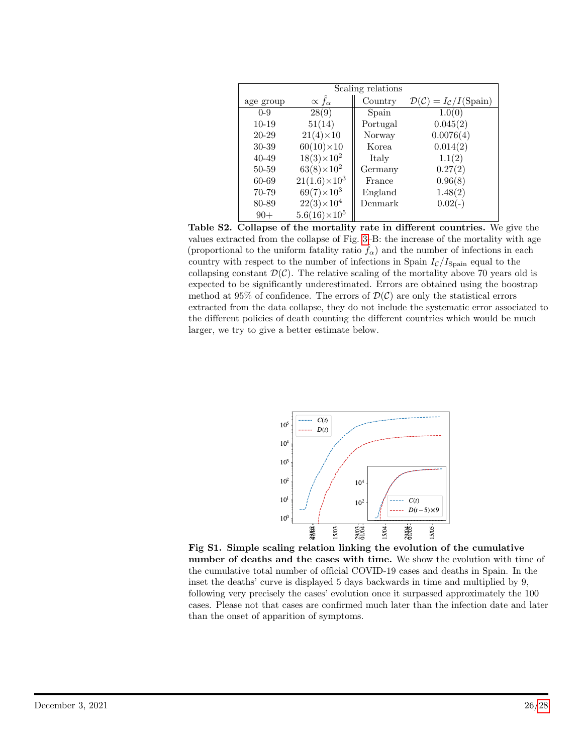<span id="page-25-1"></span>

| Scaling relations |                            |          |                                                             |
|-------------------|----------------------------|----------|-------------------------------------------------------------|
| age group         | $\propto \hat{f}_{\alpha}$ | Country  | $\mathcal{D}(\mathcal{C}) = I_{\mathcal{C}}/I(\text{Span})$ |
| $0 - 9$           | 28(9)                      | Spain    | 1.0(0)                                                      |
| $10-19$           | 51(14)                     | Portugal | 0.045(2)                                                    |
| 20-29             | $21(4)\times 10$           | Norway   | 0.0076(4)                                                   |
| 30-39             | $60(10)\times 10$          | Korea    | 0.014(2)                                                    |
| $40 - 49$         | $18(3)\times10^{2}$        | Italy    | 1.1(2)                                                      |
| 50-59             | $63(8)\times10^{2}$        | Germany  | 0.27(2)                                                     |
| 60-69             | $21(1.6)\times10^{3}$      | France   | 0.96(8)                                                     |
| 70-79             | $69(7)\times10^3$          | England  | 1.48(2)                                                     |
| 80-89             | $22(3)\times10^{4}$        | Denmark  | $0.02(-)$                                                   |
| $90+$             | $5.6(16)\times10^{5}$      |          |                                                             |

Table S2. Collapse of the mortality rate in different countries. We give the values extracted from the collapse of Fig. [3–](#page-9-1)B: the increase of the mortality with age (proportional to the uniform fatality ratio  $\tilde{f}_{\alpha}$ ) and the number of infections in each country with respect to the number of infections in Spain  $I_c/I_{\text{Spain}}$  equal to the collapsing constant  $\mathcal{D}(\mathcal{C})$ . The relative scaling of the mortality above 70 years old is expected to be significantly underestimated. Errors are obtained using the boostrap method at 95% of confidence. The errors of  $\mathcal{D}(\mathcal{C})$  are only the statistical errors extracted from the data collapse, they do not include the systematic error associated to the different policies of death counting the different countries which would be much larger, we try to give a better estimate below.

<span id="page-25-0"></span>

Fig S1. Simple scaling relation linking the evolution of the cumulative number of deaths and the cases with time. We show the evolution with time of the cumulative total number of official COVID-19 cases and deaths in Spain. In the inset the deaths' curve is displayed 5 days backwards in time and multiplied by 9, following very precisely the cases' evolution once it surpassed approximately the 100 cases. Please not that cases are confirmed much later than the infection date and later than the onset of apparition of symptoms.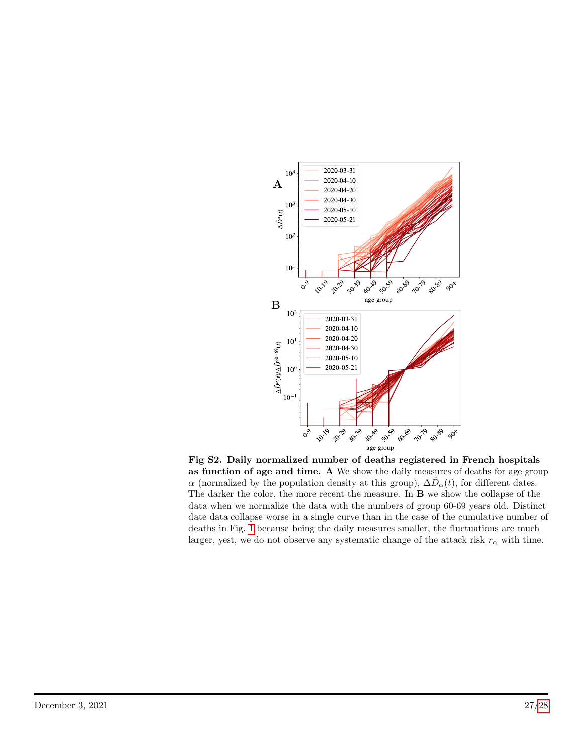<span id="page-26-0"></span>

Fig S2. Daily normalized number of deaths registered in French hospitals as function of age and time. A We show the daily measures of deaths for age group  $\alpha$  (normalized by the population density at this group),  $\Delta \hat{D}_{\alpha}(t)$ , for different dates. The darker the color, the more recent the measure. In B we show the collapse of the data when we normalize the data with the numbers of group 60-69 years old. Distinct date data collapse worse in a single curve than in the case of the cumulative number of deaths in Fig. [1](#page-5-0) because being the daily measures smaller, the fluctuations are much larger, yest, we do not observe any systematic change of the attack risk  $r_{\alpha}$  with time.